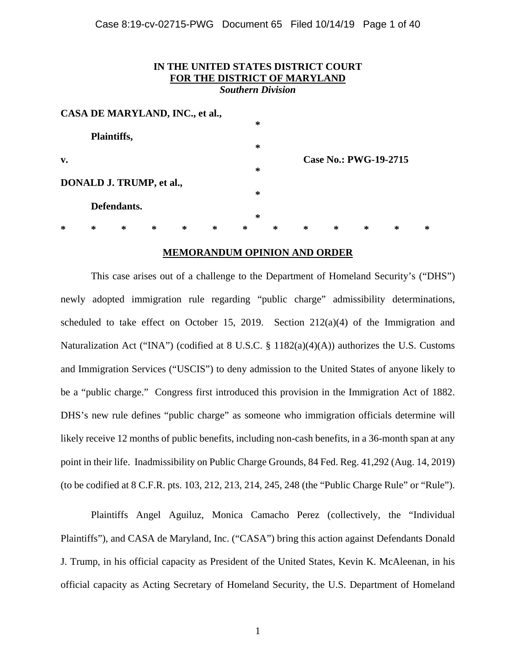| IN THE UNITED STATES DISTRICT COURT<br>FOR THE DISTRICT OF MARYLAND<br><b>Southern Division</b> |                                 |             |   |                                 |   |        |   |   |        |                              |   |   |
|-------------------------------------------------------------------------------------------------|---------------------------------|-------------|---|---------------------------------|---|--------|---|---|--------|------------------------------|---|---|
|                                                                                                 |                                 |             |   | CASA DE MARYLAND, INC., et al., |   |        |   |   |        |                              |   |   |
|                                                                                                 |                                 |             |   |                                 |   | ∗      |   |   |        |                              |   |   |
|                                                                                                 | Plaintiffs,                     |             |   |                                 |   |        |   |   |        |                              |   |   |
|                                                                                                 |                                 |             |   |                                 |   | ∗      |   |   |        |                              |   |   |
| v.                                                                                              |                                 |             |   |                                 |   |        |   |   |        | <b>Case No.: PWG-19-2715</b> |   |   |
|                                                                                                 |                                 |             |   |                                 |   | ∗      |   |   |        |                              |   |   |
|                                                                                                 | <b>DONALD J. TRUMP, et al.,</b> |             |   |                                 |   |        |   |   |        |                              |   |   |
|                                                                                                 |                                 |             |   |                                 |   | ∗      |   |   |        |                              |   |   |
|                                                                                                 |                                 | Defendants. |   |                                 |   |        |   |   |        |                              |   |   |
|                                                                                                 |                                 |             |   |                                 |   | $\ast$ |   |   |        |                              |   |   |
| *                                                                                               | *                               | *           | ∗ | ∗                               | ∗ | ∗      | ∗ | ∗ | $\ast$ | ∗                            | ∗ | ∗ |
|                                                                                                 |                                 |             |   |                                 |   |        |   |   |        |                              |   |   |

#### **MEMORANDUM OPINION AND ORDER**

This case arises out of a challenge to the Department of Homeland Security's ("DHS") newly adopted immigration rule regarding "public charge" admissibility determinations, scheduled to take effect on October 15, 2019. Section  $212(a)(4)$  of the Immigration and Naturalization Act ("INA") (codified at 8 U.S.C. § 1182(a)(4)(A)) authorizes the U.S. Customs and Immigration Services ("USCIS") to deny admission to the United States of anyone likely to be a "public charge." Congress first introduced this provision in the Immigration Act of 1882. DHS's new rule defines "public charge" as someone who immigration officials determine will likely receive 12 months of public benefits, including non-cash benefits, in a 36-month span at any point in their life. Inadmissibility on Public Charge Grounds, 84 Fed. Reg. 41,292 (Aug. 14, 2019) (to be codified at 8 C.F.R. pts. 103, 212, 213, 214, 245, 248 (the "Public Charge Rule" or "Rule").

Plaintiffs Angel Aguiluz, Monica Camacho Perez (collectively, the "Individual Plaintiffs"), and CASA de Maryland, Inc. ("CASA") bring this action against Defendants Donald J. Trump, in his official capacity as President of the United States, Kevin K. McAleenan, in his official capacity as Acting Secretary of Homeland Security, the U.S. Department of Homeland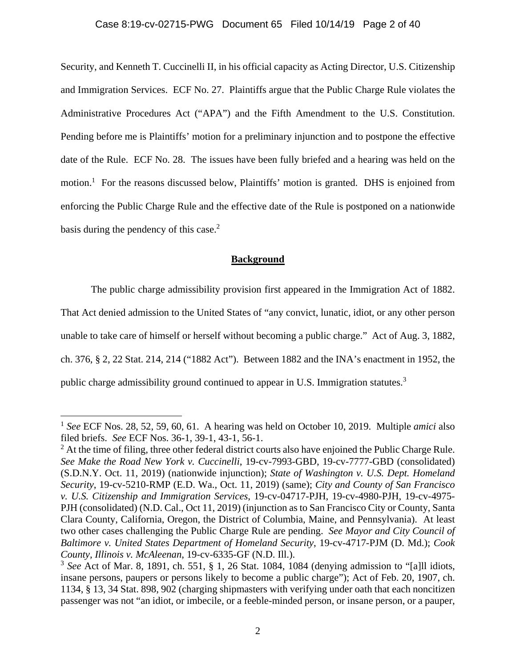### Case 8:19-cv-02715-PWG Document 65 Filed 10/14/19 Page 2 of 40

Security, and Kenneth T. Cuccinelli II, in his official capacity as Acting Director, U.S. Citizenship and Immigration Services. ECF No. 27. Plaintiffs argue that the Public Charge Rule violates the Administrative Procedures Act ("APA") and the Fifth Amendment to the U.S. Constitution. Pending before me is Plaintiffs' motion for a preliminary injunction and to postpone the effective date of the Rule. ECF No. 28. The issues have been fully briefed and a hearing was held on the motion.<sup>1</sup> For the reasons discussed below, Plaintiffs' motion is granted. DHS is enjoined from enforcing the Public Charge Rule and the effective date of the Rule is postponed on a nationwide basis during the pendency of this case.<sup>2</sup>

## **Background**

The public charge admissibility provision first appeared in the Immigration Act of 1882.

That Act denied admission to the United States of "any convict, lunatic, idiot, or any other person

unable to take care of himself or herself without becoming a public charge." Act of Aug. 3, 1882,

ch. 376, § 2, 22 Stat. 214, 214 ("1882 Act"). Between 1882 and the INA's enactment in 1952, the

public charge admissibility ground continued to appear in U.S. Immigration statutes.3

<sup>1</sup> *See* ECF Nos. 28, 52, 59, 60, 61. A hearing was held on October 10, 2019. Multiple *amici* also filed briefs. *See* ECF Nos. 36-1, 39-1, 43-1, 56-1.

 $2^2$  At the time of filing, three other federal district courts also have enjoined the Public Charge Rule. *See Make the Road New York v. Cuccinelli*, 19-cv-7993-GBD, 19-cv-7777-GBD (consolidated) (S.D.N.Y. Oct. 11, 2019) (nationwide injunction); *State of Washington v. U.S. Dept. Homeland Security*, 19-cv-5210-RMP (E.D. Wa., Oct. 11, 2019) (same); *City and County of San Francisco v. U.S. Citizenship and Immigration Services*, 19-cv-04717-PJH, 19-cv-4980-PJH, 19-cv-4975- PJH (consolidated) (N.D. Cal., Oct 11, 2019) (injunction as to San Francisco City or County, Santa Clara County, California, Oregon, the District of Columbia, Maine, and Pennsylvania). At least two other cases challenging the Public Charge Rule are pending. *See Mayor and City Council of Baltimore v. United States Department of Homeland Security*, 19-cv-4717-PJM (D. Md.); *Cook County, Illinois v. McAleenan*, 19-cv-6335-GF (N.D. Ill.).

<sup>3</sup> *See* Act of Mar. 8, 1891, ch. 551, § 1, 26 Stat. 1084, 1084 (denying admission to "[a]ll idiots, insane persons, paupers or persons likely to become a public charge"); Act of Feb. 20, 1907, ch. 1134, § 13, 34 Stat. 898, 902 (charging shipmasters with verifying under oath that each noncitizen passenger was not "an idiot, or imbecile, or a feeble-minded person, or insane person, or a pauper,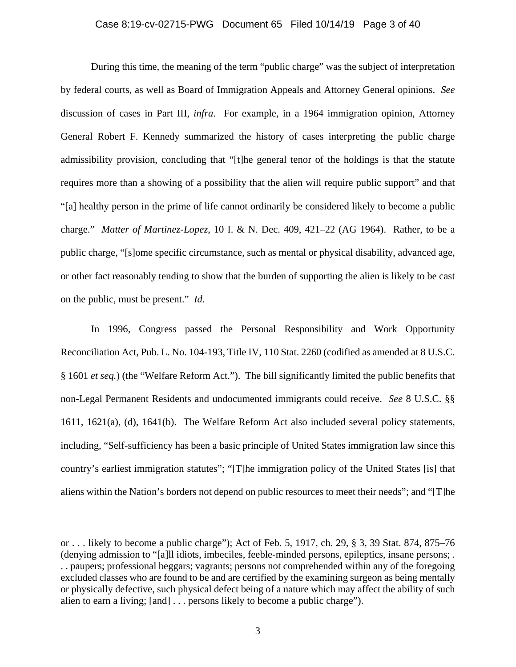### Case 8:19-cv-02715-PWG Document 65 Filed 10/14/19 Page 3 of 40

 During this time, the meaning of the term "public charge" was the subject of interpretation by federal courts, as well as Board of Immigration Appeals and Attorney General opinions. *See* discussion of cases in Part III, *infra*. For example, in a 1964 immigration opinion, Attorney General Robert F. Kennedy summarized the history of cases interpreting the public charge admissibility provision, concluding that "[t]he general tenor of the holdings is that the statute requires more than a showing of a possibility that the alien will require public support" and that "[a] healthy person in the prime of life cannot ordinarily be considered likely to become a public charge." *Matter of Martinez-Lopez*, 10 I. & N. Dec. 409, 421–22 (AG 1964). Rather, to be a public charge, "[s]ome specific circumstance, such as mental or physical disability, advanced age, or other fact reasonably tending to show that the burden of supporting the alien is likely to be cast on the public, must be present." *Id.*

 In 1996, Congress passed the Personal Responsibility and Work Opportunity Reconciliation Act, Pub. L. No. 104-193, Title IV, 110 Stat. 2260 (codified as amended at 8 U.S.C. § 1601 *et seq.*) (the "Welfare Reform Act."). The bill significantly limited the public benefits that non-Legal Permanent Residents and undocumented immigrants could receive. *See* 8 U.S.C. §§ 1611, 1621(a), (d), 1641(b). The Welfare Reform Act also included several policy statements, including, "Self-sufficiency has been a basic principle of United States immigration law since this country's earliest immigration statutes"; "[T]he immigration policy of the United States [is] that aliens within the Nation's borders not depend on public resources to meet their needs"; and "[T]he

or . . . likely to become a public charge"); Act of Feb. 5, 1917, ch. 29, § 3, 39 Stat. 874, 875–76 (denying admission to "[a]ll idiots, imbeciles, feeble-minded persons, epileptics, insane persons; . . . paupers; professional beggars; vagrants; persons not comprehended within any of the foregoing excluded classes who are found to be and are certified by the examining surgeon as being mentally or physically defective, such physical defect being of a nature which may affect the ability of such alien to earn a living; [and] . . . persons likely to become a public charge").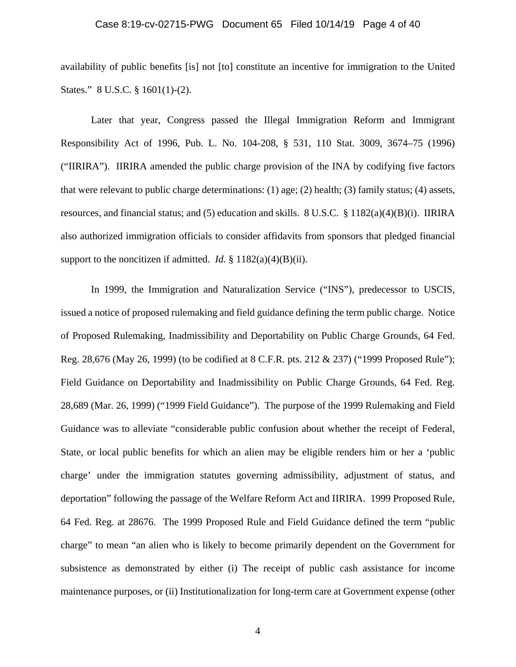### Case 8:19-cv-02715-PWG Document 65 Filed 10/14/19 Page 4 of 40

availability of public benefits [is] not [to] constitute an incentive for immigration to the United States." 8 U.S.C. § 1601(1)-(2).

 Later that year, Congress passed the Illegal Immigration Reform and Immigrant Responsibility Act of 1996, Pub. L. No. 104-208, § 531, 110 Stat. 3009, 3674–75 (1996) ("IIRIRA"). IIRIRA amended the public charge provision of the INA by codifying five factors that were relevant to public charge determinations: (1) age; (2) health; (3) family status; (4) assets, resources, and financial status; and (5) education and skills. 8 U.S.C. § 1182(a)(4)(B)(i). IIRIRA also authorized immigration officials to consider affidavits from sponsors that pledged financial support to the noncitizen if admitted. *Id.* § 1182(a)(4)(B)(ii).

 In 1999, the Immigration and Naturalization Service ("INS"), predecessor to USCIS, issued a notice of proposed rulemaking and field guidance defining the term public charge. Notice of Proposed Rulemaking, Inadmissibility and Deportability on Public Charge Grounds, 64 Fed. Reg. 28,676 (May 26, 1999) (to be codified at 8 C.F.R. pts. 212 & 237) ("1999 Proposed Rule"); Field Guidance on Deportability and Inadmissibility on Public Charge Grounds, 64 Fed. Reg. 28,689 (Mar. 26, 1999) ("1999 Field Guidance"). The purpose of the 1999 Rulemaking and Field Guidance was to alleviate "considerable public confusion about whether the receipt of Federal, State, or local public benefits for which an alien may be eligible renders him or her a 'public charge' under the immigration statutes governing admissibility, adjustment of status, and deportation" following the passage of the Welfare Reform Act and IIRIRA. 1999 Proposed Rule, 64 Fed. Reg. at 28676. The 1999 Proposed Rule and Field Guidance defined the term "public charge" to mean "an alien who is likely to become primarily dependent on the Government for subsistence as demonstrated by either (i) The receipt of public cash assistance for income maintenance purposes, or (ii) Institutionalization for long-term care at Government expense (other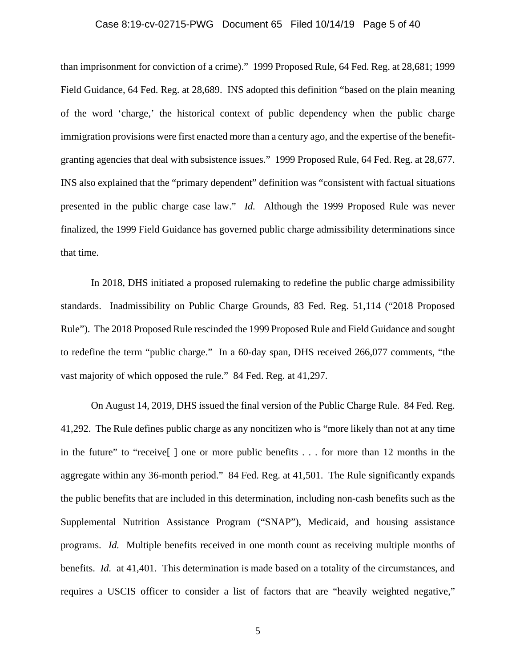### Case 8:19-cv-02715-PWG Document 65 Filed 10/14/19 Page 5 of 40

than imprisonment for conviction of a crime)." 1999 Proposed Rule, 64 Fed. Reg. at 28,681; 1999 Field Guidance, 64 Fed. Reg. at 28,689. INS adopted this definition "based on the plain meaning of the word 'charge,' the historical context of public dependency when the public charge immigration provisions were first enacted more than a century ago, and the expertise of the benefitgranting agencies that deal with subsistence issues." 1999 Proposed Rule, 64 Fed. Reg. at 28,677. INS also explained that the "primary dependent" definition was "consistent with factual situations presented in the public charge case law." *Id.* Although the 1999 Proposed Rule was never finalized, the 1999 Field Guidance has governed public charge admissibility determinations since that time.

 In 2018, DHS initiated a proposed rulemaking to redefine the public charge admissibility standards. Inadmissibility on Public Charge Grounds, 83 Fed. Reg. 51,114 ("2018 Proposed Rule"). The 2018 Proposed Rule rescinded the 1999 Proposed Rule and Field Guidance and sought to redefine the term "public charge." In a 60-day span, DHS received 266,077 comments, "the vast majority of which opposed the rule." 84 Fed. Reg. at 41,297.

 On August 14, 2019, DHS issued the final version of the Public Charge Rule. 84 Fed. Reg. 41,292. The Rule defines public charge as any noncitizen who is "more likely than not at any time in the future" to "receive[ ] one or more public benefits . . . for more than 12 months in the aggregate within any 36-month period." 84 Fed. Reg. at 41,501. The Rule significantly expands the public benefits that are included in this determination, including non-cash benefits such as the Supplemental Nutrition Assistance Program ("SNAP"), Medicaid, and housing assistance programs. *Id.* Multiple benefits received in one month count as receiving multiple months of benefits. *Id.* at 41,401. This determination is made based on a totality of the circumstances, and requires a USCIS officer to consider a list of factors that are "heavily weighted negative,"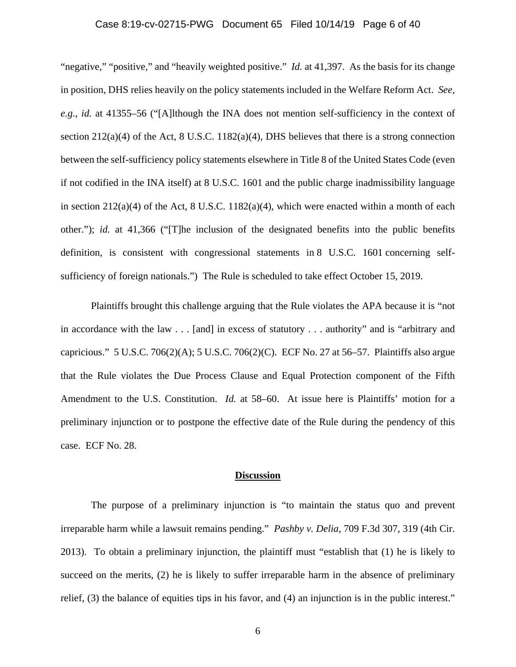### Case 8:19-cv-02715-PWG Document 65 Filed 10/14/19 Page 6 of 40

"negative," "positive," and "heavily weighted positive." *Id.* at 41,397. As the basis for its change in position, DHS relies heavily on the policy statements included in the Welfare Reform Act. *See, e.g.*, *id.* at 41355–56 ("[A]lthough the INA does not mention self-sufficiency in the context of section 212(a)(4) of the Act, 8 U.S.C. 1182(a)(4), DHS believes that there is a strong connection between the self-sufficiency policy statements elsewhere in Title 8 of the United States Code (even if not codified in the INA itself) at 8 U.S.C. 1601 and the public charge inadmissibility language in section  $212(a)(4)$  of the Act, 8 U.S.C.  $1182(a)(4)$ , which were enacted within a month of each other."); *id.* at 41,366 ("[T]he inclusion of the designated benefits into the public benefits definition, is consistent with congressional statements in 8 U.S.C. 1601 concerning selfsufficiency of foreign nationals.") The Rule is scheduled to take effect October 15, 2019.

Plaintiffs brought this challenge arguing that the Rule violates the APA because it is "not in accordance with the law . . . [and] in excess of statutory . . . authority" and is "arbitrary and capricious." 5 U.S.C. 706(2)(A); 5 U.S.C. 706(2)(C). ECF No. 27 at 56–57. Plaintiffs also argue that the Rule violates the Due Process Clause and Equal Protection component of the Fifth Amendment to the U.S. Constitution. *Id.* at 58–60. At issue here is Plaintiffs' motion for a preliminary injunction or to postpone the effective date of the Rule during the pendency of this case. ECF No. 28.

#### **Discussion**

The purpose of a preliminary injunction is "to maintain the status quo and prevent irreparable harm while a lawsuit remains pending." *Pashby v. Delia*, 709 F.3d 307, 319 (4th Cir. 2013). To obtain a preliminary injunction, the plaintiff must "establish that (1) he is likely to succeed on the merits, (2) he is likely to suffer irreparable harm in the absence of preliminary relief, (3) the balance of equities tips in his favor, and (4) an injunction is in the public interest."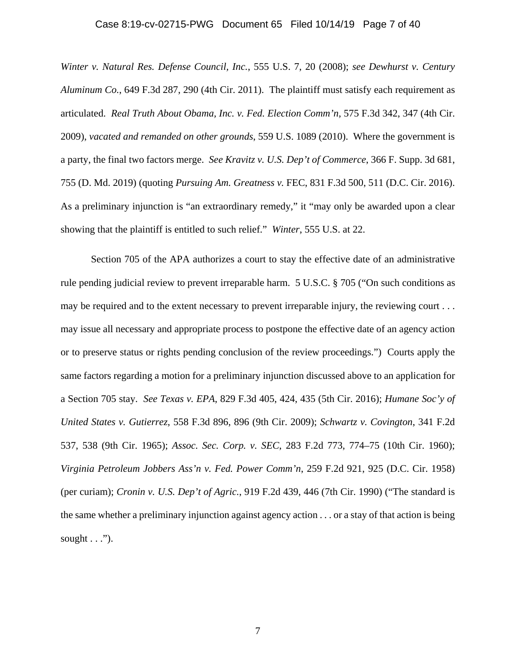### Case 8:19-cv-02715-PWG Document 65 Filed 10/14/19 Page 7 of 40

*Winter v. Natural Res. Defense Council, Inc.*, 555 U.S. 7, 20 (2008); *see Dewhurst v. Century Aluminum Co.*, 649 F.3d 287, 290 (4th Cir. 2011). The plaintiff must satisfy each requirement as articulated. *Real Truth About Obama, Inc. v. Fed. Election Comm'n*, 575 F.3d 342, 347 (4th Cir. 2009), *vacated and remanded on other grounds*, 559 U.S. 1089 (2010). Where the government is a party, the final two factors merge. *See Kravitz v. U.S. Dep't of Commerce*, 366 F. Supp. 3d 681, 755 (D. Md. 2019) (quoting *Pursuing Am. Greatness v.* FEC, 831 F.3d 500, 511 (D.C. Cir. 2016). As a preliminary injunction is "an extraordinary remedy," it "may only be awarded upon a clear showing that the plaintiff is entitled to such relief." *Winter*, 555 U.S. at 22.

 Section 705 of the APA authorizes a court to stay the effective date of an administrative rule pending judicial review to prevent irreparable harm. 5 U.S.C. § 705 ("On such conditions as may be required and to the extent necessary to prevent irreparable injury, the reviewing court . . . may issue all necessary and appropriate process to postpone the effective date of an agency action or to preserve status or rights pending conclusion of the review proceedings.") Courts apply the same factors regarding a motion for a preliminary injunction discussed above to an application for a Section 705 stay. *See Texas v. EPA*, 829 F.3d 405, 424, 435 (5th Cir. 2016); *Humane Soc'y of United States v. Gutierrez*, 558 F.3d 896, 896 (9th Cir. 2009); *Schwartz v. Covington*, 341 F.2d 537, 538 (9th Cir. 1965); *Assoc. Sec. Corp. v. SEC*, 283 F.2d 773, 774–75 (10th Cir. 1960); *Virginia Petroleum Jobbers Ass'n v. Fed. Power Comm'n*, 259 F.2d 921, 925 (D.C. Cir. 1958) (per curiam); *Cronin v. U.S. Dep't of Agric.*, 919 F.2d 439, 446 (7th Cir. 1990) ("The standard is the same whether a preliminary injunction against agency action . . . or a stay of that action is being sought  $\dots$ ").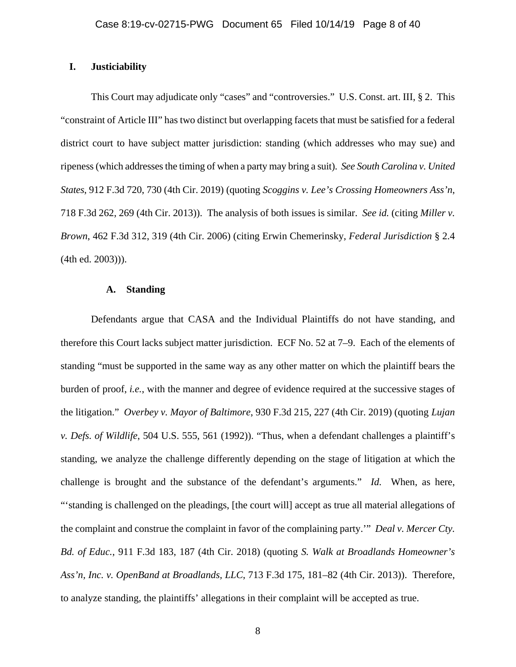### **I. Justiciability**

This Court may adjudicate only "cases" and "controversies." U.S. Const. art. III, § 2. This "constraint of Article III" has two distinct but overlapping facets that must be satisfied for a federal district court to have subject matter jurisdiction: standing (which addresses who may sue) and ripeness (which addresses the timing of when a party may bring a suit). *See South Carolina v. United States*, 912 F.3d 720, 730 (4th Cir. 2019) (quoting *Scoggins v. Lee's Crossing Homeowners Ass'n*, 718 F.3d 262, 269 (4th Cir. 2013)). The analysis of both issues is similar. *See id.* (citing *Miller v. Brown*, 462 F.3d 312, 319 (4th Cir. 2006) (citing Erwin Chemerinsky, *Federal Jurisdiction* § 2.4 (4th ed. 2003))).

#### **A. Standing**

Defendants argue that CASA and the Individual Plaintiffs do not have standing, and therefore this Court lacks subject matter jurisdiction. ECF No. 52 at 7–9. Each of the elements of standing "must be supported in the same way as any other matter on which the plaintiff bears the burden of proof, *i.e.*, with the manner and degree of evidence required at the successive stages of the litigation." *Overbey v. Mayor of Baltimore*, 930 F.3d 215, 227 (4th Cir. 2019) (quoting *Lujan v. Defs. of Wildlife*, 504 U.S. 555, 561 (1992)). "Thus, when a defendant challenges a plaintiff's standing, we analyze the challenge differently depending on the stage of litigation at which the challenge is brought and the substance of the defendant's arguments." *Id.* When, as here, "'standing is challenged on the pleadings, [the court will] accept as true all material allegations of the complaint and construe the complaint in favor of the complaining party.'" *Deal v. Mercer Cty. Bd. of Educ.*, 911 F.3d 183, 187 (4th Cir. 2018) (quoting *S. Walk at Broadlands Homeowner's Ass'n, Inc. v. OpenBand at Broadlands, LLC*, 713 F.3d 175, 181–82 (4th Cir. 2013)). Therefore, to analyze standing, the plaintiffs' allegations in their complaint will be accepted as true.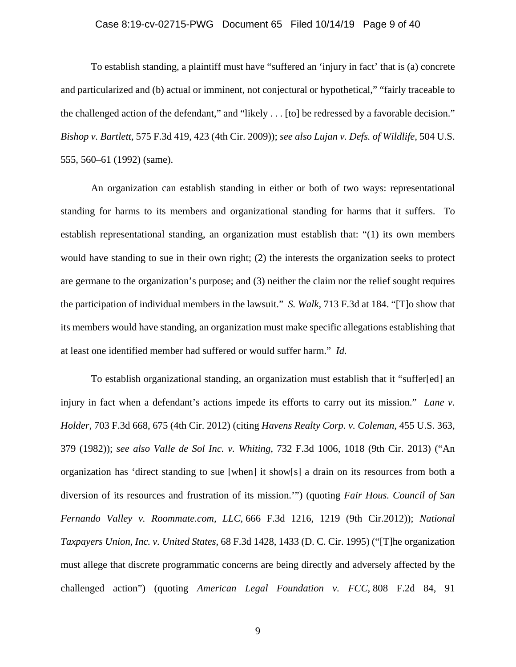### Case 8:19-cv-02715-PWG Document 65 Filed 10/14/19 Page 9 of 40

To establish standing, a plaintiff must have "suffered an 'injury in fact' that is (a) concrete and particularized and (b) actual or imminent, not conjectural or hypothetical," "fairly traceable to the challenged action of the defendant," and "likely . . . [to] be redressed by a favorable decision." *Bishop v. Bartlett,* 575 F.3d 419, 423 (4th Cir. 2009)); *see also Lujan v. Defs. of Wildlife*, 504 U.S. 555, 560–61 (1992) (same).

An organization can establish standing in either or both of two ways: representational standing for harms to its members and organizational standing for harms that it suffers. To establish representational standing, an organization must establish that: "(1) its own members would have standing to sue in their own right; (2) the interests the organization seeks to protect are germane to the organization's purpose; and (3) neither the claim nor the relief sought requires the participation of individual members in the lawsuit." *S. Walk*, 713 F.3d at 184. "[T]o show that its members would have standing, an organization must make specific allegations establishing that at least one identified member had suffered or would suffer harm." *Id.* 

To establish organizational standing, an organization must establish that it "suffer[ed] an injury in fact when a defendant's actions impede its efforts to carry out its mission." *Lane v. Holder*, 703 F.3d 668, 675 (4th Cir. 2012) (citing *Havens Realty Corp. v. Coleman*, 455 U.S. 363, 379 (1982)); *see also Valle de Sol Inc. v. Whiting*, 732 F.3d 1006, 1018 (9th Cir. 2013) ("An organization has 'direct standing to sue [when] it show[s] a drain on its resources from both a diversion of its resources and frustration of its mission.'") (quoting *Fair Hous. Council of San Fernando Valley v. Roommate.com, LLC*, 666 F.3d 1216, 1219 (9th Cir.2012)); *National Taxpayers Union, Inc. v. United States*, 68 F.3d 1428, 1433 (D. C. Cir. 1995) ("[T]he organization must allege that discrete programmatic concerns are being directly and adversely affected by the challenged action") (quoting *American Legal Foundation v. FCC*, 808 F.2d 84, 91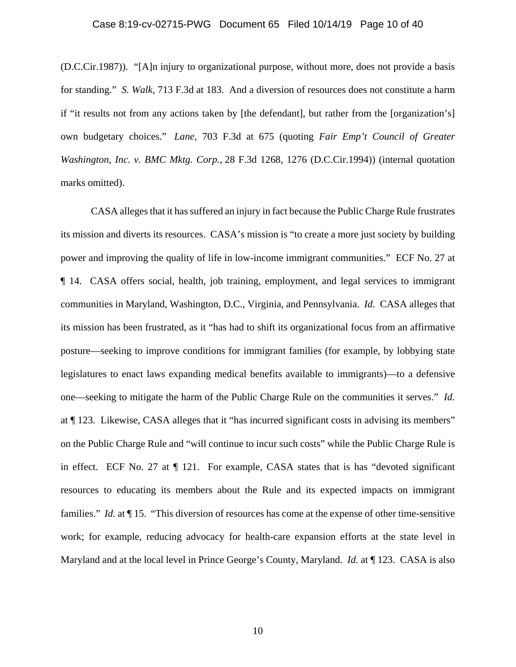### Case 8:19-cv-02715-PWG Document 65 Filed 10/14/19 Page 10 of 40

(D.C.Cir.1987)). "[A]n injury to organizational purpose, without more, does not provide a basis for standing." *S. Walk*, 713 F.3d at 183. And a diversion of resources does not constitute a harm if "it results not from any actions taken by [the defendant], but rather from the [organization's] own budgetary choices." *Lane*, 703 F.3d at 675 (quoting *Fair Emp't Council of Greater Washington, Inc. v. BMC Mktg. Corp.*, 28 F.3d 1268, 1276 (D.C.Cir.1994)) (internal quotation marks omitted).

CASA alleges that it has suffered an injury in fact because the Public Charge Rule frustrates its mission and diverts its resources. CASA's mission is "to create a more just society by building power and improving the quality of life in low-income immigrant communities." ECF No. 27 at ¶ 14. CASA offers social, health, job training, employment, and legal services to immigrant communities in Maryland, Washington, D.C., Virginia, and Pennsylvania. *Id.* CASA alleges that its mission has been frustrated, as it "has had to shift its organizational focus from an affirmative posture—seeking to improve conditions for immigrant families (for example, by lobbying state legislatures to enact laws expanding medical benefits available to immigrants)—to a defensive one—seeking to mitigate the harm of the Public Charge Rule on the communities it serves." *Id.* at ¶ 123. Likewise, CASA alleges that it "has incurred significant costs in advising its members" on the Public Charge Rule and "will continue to incur such costs" while the Public Charge Rule is in effect. ECF No. 27 at  $\P$  121. For example, CASA states that is has "devoted significant resources to educating its members about the Rule and its expected impacts on immigrant families." *Id.* at  $\P$  15. "This diversion of resources has come at the expense of other time-sensitive work; for example, reducing advocacy for health-care expansion efforts at the state level in Maryland and at the local level in Prince George's County, Maryland. *Id.* at ¶ 123. CASA is also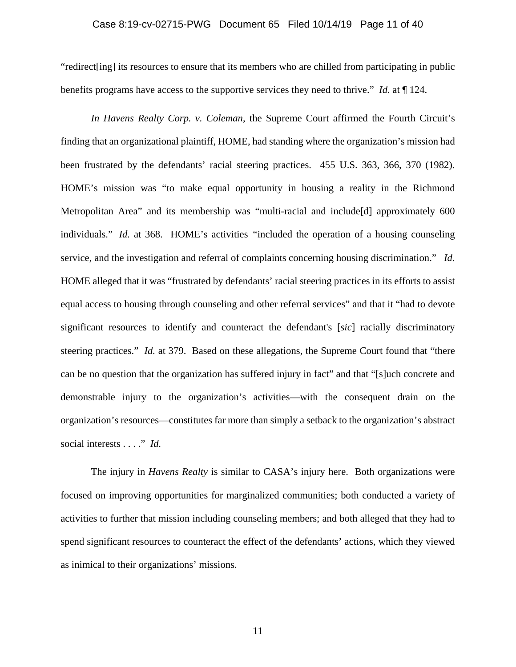### Case 8:19-cv-02715-PWG Document 65 Filed 10/14/19 Page 11 of 40

"redirect[ing] its resources to ensure that its members who are chilled from participating in public benefits programs have access to the supportive services they need to thrive." *Id.* at ¶ 124.

*In Havens Realty Corp. v. Coleman*, the Supreme Court affirmed the Fourth Circuit's finding that an organizational plaintiff, HOME, had standing where the organization's mission had been frustrated by the defendants' racial steering practices. 455 U.S. 363, 366, 370 (1982). HOME's mission was "to make equal opportunity in housing a reality in the Richmond Metropolitan Area" and its membership was "multi-racial and include[d] approximately 600 individuals." *Id.* at 368. HOME's activities *"*included the operation of a housing counseling service, and the investigation and referral of complaints concerning housing discrimination." *Id.* HOME alleged that it was "frustrated by defendants' racial steering practices in its efforts to assist equal access to housing through counseling and other referral services" and that it "had to devote significant resources to identify and counteract the defendant's [*sic*] racially discriminatory steering practices." *Id.* at 379. Based on these allegations, the Supreme Court found that "there can be no question that the organization has suffered injury in fact" and that "[s]uch concrete and demonstrable injury to the organization's activities—with the consequent drain on the organization's resources—constitutes far more than simply a setback to the organization's abstract social interests . . . ." *Id.* 

The injury in *Havens Realty* is similar to CASA's injury here. Both organizations were focused on improving opportunities for marginalized communities; both conducted a variety of activities to further that mission including counseling members; and both alleged that they had to spend significant resources to counteract the effect of the defendants' actions, which they viewed as inimical to their organizations' missions.

11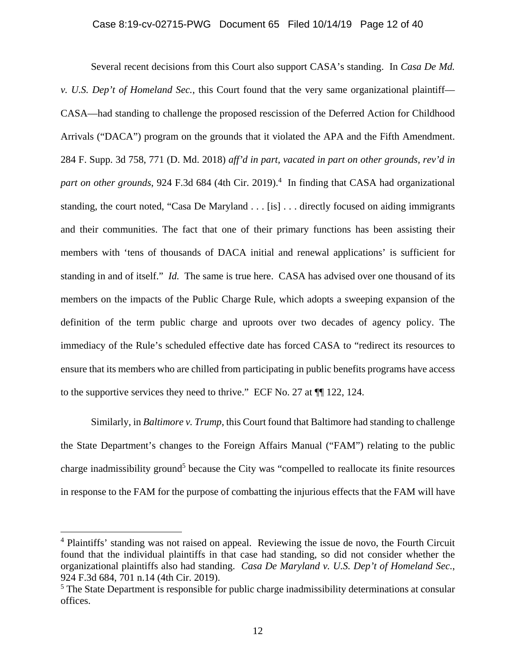Several recent decisions from this Court also support CASA's standing. In *Casa De Md. v. U.S. Dep't of Homeland Sec.*, this Court found that the very same organizational plaintiff— CASA—had standing to challenge the proposed rescission of the Deferred Action for Childhood Arrivals ("DACA") program on the grounds that it violated the APA and the Fifth Amendment. 284 F. Supp. 3d 758, 771 (D. Md. 2018) *aff'd in part, vacated in part on other grounds, rev'd in*  part on other grounds, 924 F.3d 684 (4th Cir. 2019).<sup>4</sup> In finding that CASA had organizational standing, the court noted, "Casa De Maryland . . . [is] . . . directly focused on aiding immigrants and their communities. The fact that one of their primary functions has been assisting their members with 'tens of thousands of DACA initial and renewal applications' is sufficient for standing in and of itself." *Id.* The same is true here. CASA has advised over one thousand of its members on the impacts of the Public Charge Rule, which adopts a sweeping expansion of the definition of the term public charge and uproots over two decades of agency policy. The immediacy of the Rule's scheduled effective date has forced CASA to "redirect its resources to ensure that its members who are chilled from participating in public benefits programs have access to the supportive services they need to thrive." ECF No. 27 at ¶¶ 122, 124.

Similarly, in *Baltimore v. Trump*, this Court found that Baltimore had standing to challenge the State Department's changes to the Foreign Affairs Manual ("FAM") relating to the public charge inadmissibility ground<sup>5</sup> because the City was "compelled to reallocate its finite resources in response to the FAM for the purpose of combatting the injurious effects that the FAM will have

<sup>&</sup>lt;sup>4</sup> Plaintiffs' standing was not raised on appeal. Reviewing the issue de novo, the Fourth Circuit found that the individual plaintiffs in that case had standing, so did not consider whether the organizational plaintiffs also had standing. *Casa De Maryland v. U.S. Dep't of Homeland Sec.*, 924 F.3d 684, 701 n.14 (4th Cir. 2019).

<sup>&</sup>lt;sup>5</sup> The State Department is responsible for public charge inadmissibility determinations at consular offices.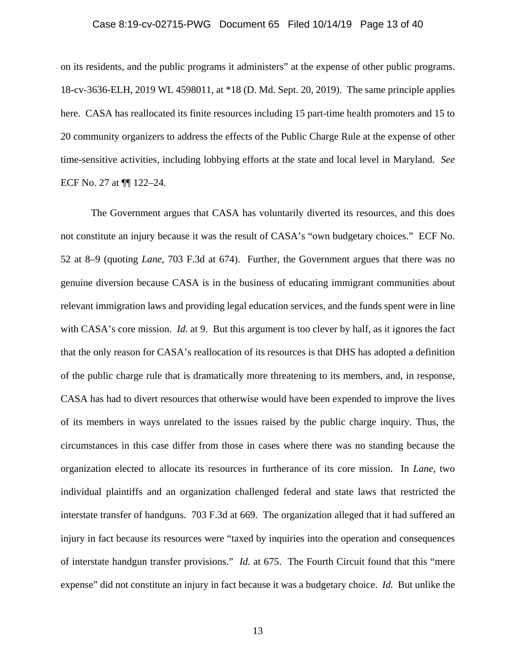### Case 8:19-cv-02715-PWG Document 65 Filed 10/14/19 Page 13 of 40

on its residents, and the public programs it administers" at the expense of other public programs. 18-cv-3636-ELH, 2019 WL 4598011, at \*18 (D. Md. Sept. 20, 2019). The same principle applies here. CASA has reallocated its finite resources including 15 part-time health promoters and 15 to 20 community organizers to address the effects of the Public Charge Rule at the expense of other time-sensitive activities, including lobbying efforts at the state and local level in Maryland. *See* ECF No. 27 at ¶¶ 122–24.

The Government argues that CASA has voluntarily diverted its resources, and this does not constitute an injury because it was the result of CASA's "own budgetary choices." ECF No. 52 at 8–9 (quoting *Lane*, 703 F.3d at 674). Further, the Government argues that there was no genuine diversion because CASA is in the business of educating immigrant communities about relevant immigration laws and providing legal education services, and the funds spent were in line with CASA's core mission. *Id.* at 9. But this argument is too clever by half, as it ignores the fact that the only reason for CASA's reallocation of its resources is that DHS has adopted a definition of the public charge rule that is dramatically more threatening to its members, and, in response, CASA has had to divert resources that otherwise would have been expended to improve the lives of its members in ways unrelated to the issues raised by the public charge inquiry. Thus, the circumstances in this case differ from those in cases where there was no standing because the organization elected to allocate its resources in furtherance of its core mission. In *Lane*, two individual plaintiffs and an organization challenged federal and state laws that restricted the interstate transfer of handguns. 703 F.3d at 669. The organization alleged that it had suffered an injury in fact because its resources were "taxed by inquiries into the operation and consequences of interstate handgun transfer provisions." *Id.* at 675. The Fourth Circuit found that this "mere expense" did not constitute an injury in fact because it was a budgetary choice. *Id.* But unlike the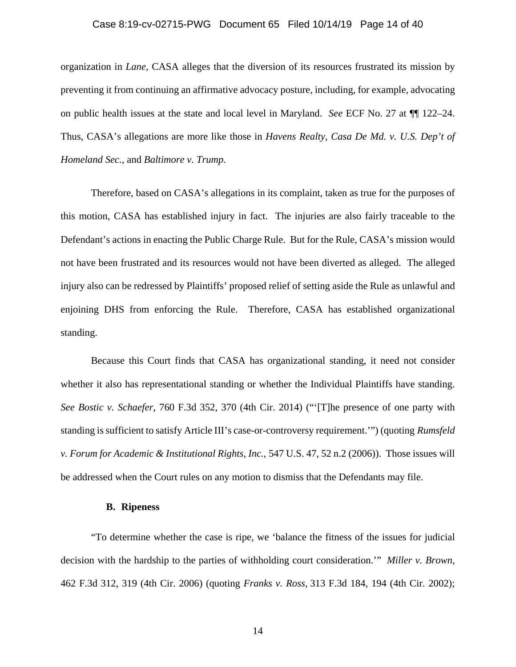### Case 8:19-cv-02715-PWG Document 65 Filed 10/14/19 Page 14 of 40

organization in *Lane*, CASA alleges that the diversion of its resources frustrated its mission by preventing it from continuing an affirmative advocacy posture, including, for example, advocating on public health issues at the state and local level in Maryland. *See* ECF No. 27 at ¶¶ 122–24. Thus, CASA's allegations are more like those in *Havens Realty*, *Casa De Md. v. U.S. Dep't of Homeland Sec.*, and *Baltimore v. Trump*.

Therefore, based on CASA's allegations in its complaint, taken as true for the purposes of this motion, CASA has established injury in fact. The injuries are also fairly traceable to the Defendant's actions in enacting the Public Charge Rule. But for the Rule, CASA's mission would not have been frustrated and its resources would not have been diverted as alleged. The alleged injury also can be redressed by Plaintiffs' proposed relief of setting aside the Rule as unlawful and enjoining DHS from enforcing the Rule. Therefore, CASA has established organizational standing.

 Because this Court finds that CASA has organizational standing, it need not consider whether it also has representational standing or whether the Individual Plaintiffs have standing. *See Bostic v. Schaefer*, 760 F.3d 352, 370 (4th Cir. 2014) ("'[T]he presence of one party with standing is sufficient to satisfy Article III's case-or-controversy requirement.'") (quoting *Rumsfeld v. Forum for Academic & Institutional Rights, Inc.*, 547 U.S. 47, 52 n.2 (2006)). Those issues will be addressed when the Court rules on any motion to dismiss that the Defendants may file.

#### **B. Ripeness**

"To determine whether the case is ripe, we 'balance the fitness of the issues for judicial decision with the hardship to the parties of withholding court consideration.'" *Miller v. Brown*, 462 F.3d 312, 319 (4th Cir. 2006) (quoting *Franks v. Ross,* 313 F.3d 184, 194 (4th Cir. 2002);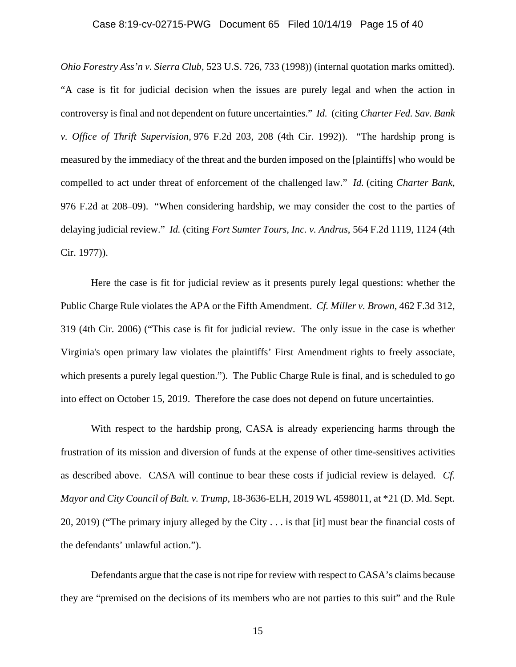### Case 8:19-cv-02715-PWG Document 65 Filed 10/14/19 Page 15 of 40

*Ohio Forestry Ass'n v. Sierra Club,* 523 U.S. 726, 733 (1998)) (internal quotation marks omitted). "A case is fit for judicial decision when the issues are purely legal and when the action in controversy is final and not dependent on future uncertainties." *Id.* (citing *Charter Fed. Sav. Bank v. Office of Thrift Supervision,* 976 F.2d 203, 208 (4th Cir. 1992)). "The hardship prong is measured by the immediacy of the threat and the burden imposed on the [plaintiffs] who would be compelled to act under threat of enforcement of the challenged law." *Id.* (citing *Charter Bank*, 976 F.2d at 208–09). "When considering hardship, we may consider the cost to the parties of delaying judicial review." *Id.* (citing *Fort Sumter Tours, Inc. v. Andrus*, 564 F.2d 1119, 1124 (4th Cir. 1977)).

 Here the case is fit for judicial review as it presents purely legal questions: whether the Public Charge Rule violates the APA or the Fifth Amendment. *Cf. Miller v. Brown*, 462 F.3d 312, 319 (4th Cir. 2006) ("This case is fit for judicial review. The only issue in the case is whether Virginia's open primary law violates the plaintiffs' First Amendment rights to freely associate, which presents a purely legal question."). The Public Charge Rule is final, and is scheduled to go into effect on October 15, 2019. Therefore the case does not depend on future uncertainties.

With respect to the hardship prong, CASA is already experiencing harms through the frustration of its mission and diversion of funds at the expense of other time-sensitives activities as described above. CASA will continue to bear these costs if judicial review is delayed. *Cf. Mayor and City Council of Balt. v. Trump*, 18-3636-ELH, 2019 WL 4598011, at \*21 (D. Md. Sept. 20, 2019) ("The primary injury alleged by the City . . . is that [it] must bear the financial costs of the defendants' unlawful action.").

 Defendants argue that the case is not ripe for review with respect to CASA's claims because they are "premised on the decisions of its members who are not parties to this suit" and the Rule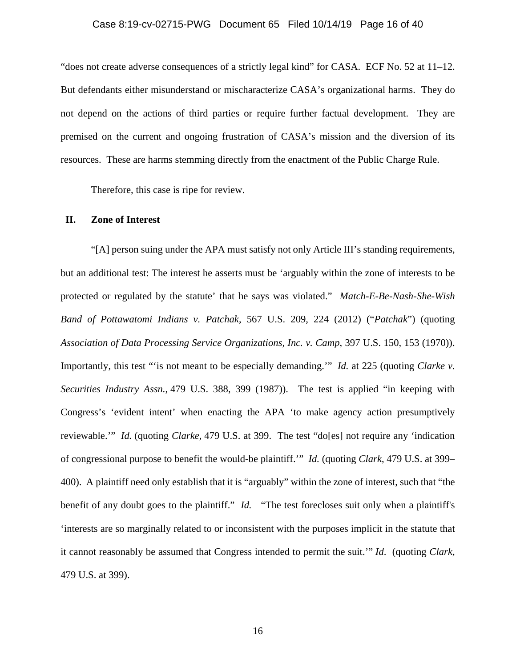#### Case 8:19-cv-02715-PWG Document 65 Filed 10/14/19 Page 16 of 40

"does not create adverse consequences of a strictly legal kind" for CASA. ECF No. 52 at 11–12. But defendants either misunderstand or mischaracterize CASA's organizational harms. They do not depend on the actions of third parties or require further factual development. They are premised on the current and ongoing frustration of CASA's mission and the diversion of its resources. These are harms stemming directly from the enactment of the Public Charge Rule.

Therefore, this case is ripe for review.

### **II. Zone of Interest**

"[A] person suing under the APA must satisfy not only Article III's standing requirements, but an additional test: The interest he asserts must be 'arguably within the zone of interests to be protected or regulated by the statute' that he says was violated." *Match-E-Be-Nash-She-Wish Band of Pottawatomi Indians v. Patchak*, 567 U.S. 209, 224 (2012) ("*Patchak*") (quoting *Association of Data Processing Service Organizations, Inc. v. Camp*, 397 U.S. 150, 153 (1970)). Importantly, this test "'is not meant to be especially demanding.'" *Id.* at 225 (quoting *Clarke v. Securities Industry Assn.*, 479 U.S. 388, 399 (1987)). The test is applied "in keeping with Congress's 'evident intent' when enacting the APA 'to make agency action presumptively reviewable.'" *Id.* (quoting *Clarke*, 479 U.S. at 399. The test "do[es] not require any 'indication of congressional purpose to benefit the would-be plaintiff.'" *Id.* (quoting *Clark*, 479 U.S. at 399– 400). A plaintiff need only establish that it is "arguably" within the zone of interest, such that "the benefit of any doubt goes to the plaintiff." *Id.* "The test forecloses suit only when a plaintiff's 'interests are so marginally related to or inconsistent with the purposes implicit in the statute that it cannot reasonably be assumed that Congress intended to permit the suit.'" *Id*. (quoting *Clark*, 479 U.S. at 399).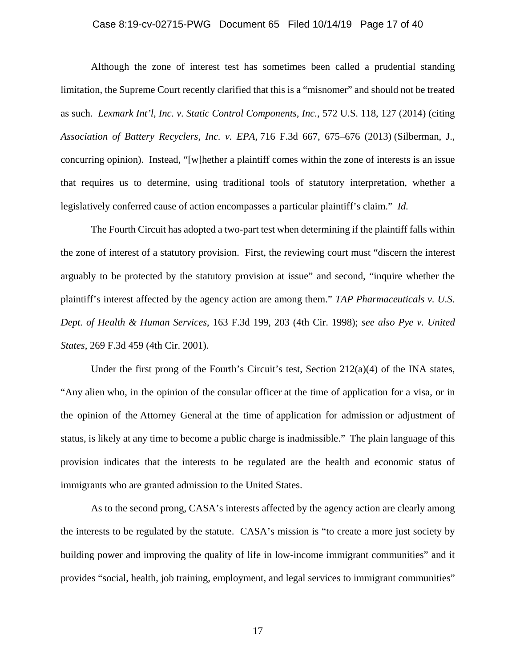### Case 8:19-cv-02715-PWG Document 65 Filed 10/14/19 Page 17 of 40

Although the zone of interest test has sometimes been called a prudential standing limitation, the Supreme Court recently clarified that this is a "misnomer" and should not be treated as such. *Lexmark Int'l, Inc. v. Static Control Components, Inc.*, 572 U.S. 118, 127 (2014) (citing *Association of Battery Recyclers, Inc. v. EPA,* 716 F.3d 667, 675–676 (2013) (Silberman, J., concurring opinion). Instead, "[w]hether a plaintiff comes within the zone of interests is an issue that requires us to determine, using traditional tools of statutory interpretation, whether a legislatively conferred cause of action encompasses a particular plaintiff's claim." *Id.*

The Fourth Circuit has adopted a two-part test when determining if the plaintiff falls within the zone of interest of a statutory provision. First, the reviewing court must "discern the interest arguably to be protected by the statutory provision at issue" and second, "inquire whether the plaintiff's interest affected by the agency action are among them." *TAP Pharmaceuticals v. U.S. Dept. of Health & Human Services*, 163 F.3d 199, 203 (4th Cir. 1998); *see also Pye v. United States*, 269 F.3d 459 (4th Cir. 2001).

Under the first prong of the Fourth's Circuit's test, Section  $212(a)(4)$  of the INA states, "Any alien who, in the opinion of the consular officer at the time of application for a visa, or in the opinion of the Attorney General at the time of application for admission or adjustment of status, is likely at any time to become a public charge is inadmissible." The plain language of this provision indicates that the interests to be regulated are the health and economic status of immigrants who are granted admission to the United States.

As to the second prong, CASA's interests affected by the agency action are clearly among the interests to be regulated by the statute. CASA's mission is "to create a more just society by building power and improving the quality of life in low-income immigrant communities" and it provides "social, health, job training, employment, and legal services to immigrant communities"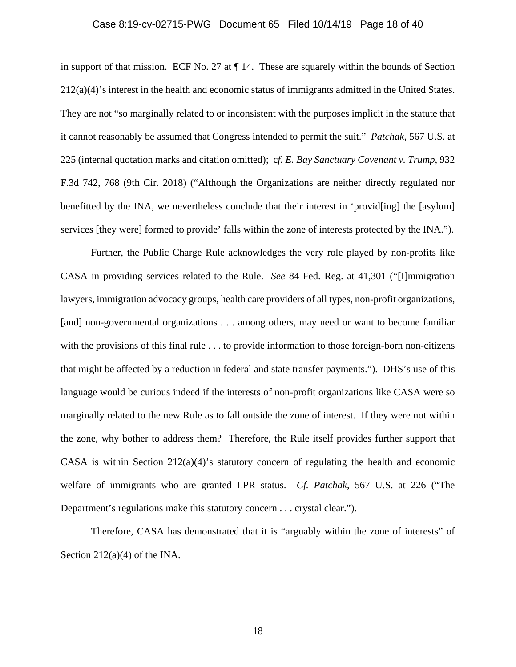### Case 8:19-cv-02715-PWG Document 65 Filed 10/14/19 Page 18 of 40

in support of that mission. ECF No. 27 at ¶ 14. These are squarely within the bounds of Section 212(a)(4)'s interest in the health and economic status of immigrants admitted in the United States. They are not "so marginally related to or inconsistent with the purposes implicit in the statute that it cannot reasonably be assumed that Congress intended to permit the suit." *Patchak*, 567 U.S. at 225 (internal quotation marks and citation omitted); c*f. E. Bay Sanctuary Covenant v. Trump*, 932 F.3d 742, 768 (9th Cir. 2018) ("Although the Organizations are neither directly regulated nor benefitted by the INA, we nevertheless conclude that their interest in 'provid[ing] the [asylum] services [they were] formed to provide' falls within the zone of interests protected by the INA.").

Further, the Public Charge Rule acknowledges the very role played by non-profits like CASA in providing services related to the Rule. *See* 84 Fed. Reg. at 41,301 ("[I]mmigration lawyers, immigration advocacy groups, health care providers of all types, non-profit organizations, [and] non-governmental organizations . . . among others, may need or want to become familiar with the provisions of this final rule . . . to provide information to those foreign-born non-citizens that might be affected by a reduction in federal and state transfer payments."). DHS's use of this language would be curious indeed if the interests of non-profit organizations like CASA were so marginally related to the new Rule as to fall outside the zone of interest. If they were not within the zone, why bother to address them? Therefore, the Rule itself provides further support that CASA is within Section 212(a)(4)'s statutory concern of regulating the health and economic welfare of immigrants who are granted LPR status. *Cf. Patchak*, 567 U.S. at 226 ("The Department's regulations make this statutory concern . . . crystal clear.").

Therefore, CASA has demonstrated that it is "arguably within the zone of interests" of Section  $212(a)(4)$  of the INA.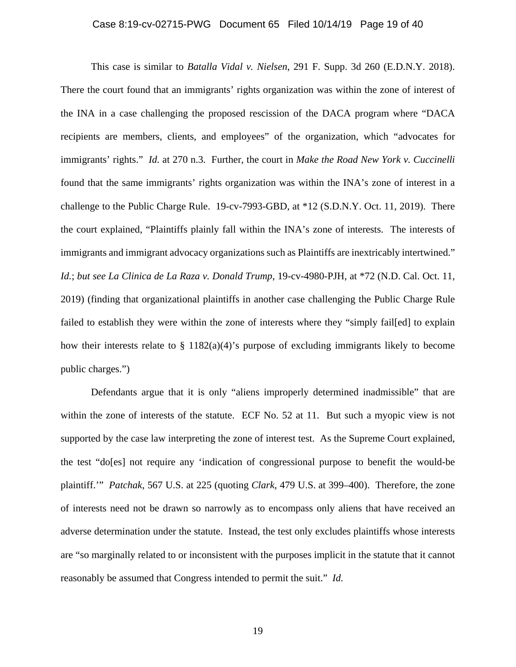#### Case 8:19-cv-02715-PWG Document 65 Filed 10/14/19 Page 19 of 40

This case is similar to *Batalla Vidal v. Nielsen*, 291 F. Supp. 3d 260 (E.D.N.Y. 2018). There the court found that an immigrants' rights organization was within the zone of interest of the INA in a case challenging the proposed rescission of the DACA program where "DACA recipients are members, clients, and employees" of the organization, which "advocates for immigrants' rights." *Id.* at 270 n.3. Further, the court in *Make the Road New York v. Cuccinelli* found that the same immigrants' rights organization was within the INA's zone of interest in a challenge to the Public Charge Rule. 19-cv-7993-GBD, at \*12 (S.D.N.Y. Oct. 11, 2019). There the court explained, "Plaintiffs plainly fall within the INA's zone of interests. The interests of immigrants and immigrant advocacy organizations such as Plaintiffs are inextricably intertwined." *Id.*; *but see La Clinica de La Raza v. Donald Trump*, 19-cv-4980-PJH, at \*72 (N.D. Cal. Oct. 11, 2019) (finding that organizational plaintiffs in another case challenging the Public Charge Rule failed to establish they were within the zone of interests where they "simply fail[ed] to explain how their interests relate to § 1182(a)(4)'s purpose of excluding immigrants likely to become public charges.")

Defendants argue that it is only "aliens improperly determined inadmissible" that are within the zone of interests of the statute. ECF No. 52 at 11. But such a myopic view is not supported by the case law interpreting the zone of interest test. As the Supreme Court explained, the test "do[es] not require any 'indication of congressional purpose to benefit the would-be plaintiff.'" *Patchak*, 567 U.S. at 225 (quoting *Clark*, 479 U.S. at 399–400). Therefore, the zone of interests need not be drawn so narrowly as to encompass only aliens that have received an adverse determination under the statute. Instead, the test only excludes plaintiffs whose interests are "so marginally related to or inconsistent with the purposes implicit in the statute that it cannot reasonably be assumed that Congress intended to permit the suit." *Id.*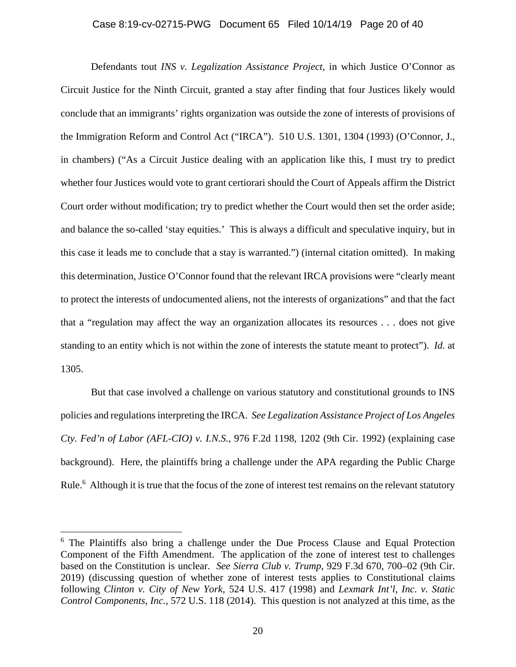### Case 8:19-cv-02715-PWG Document 65 Filed 10/14/19 Page 20 of 40

Defendants tout *INS v. Legalization Assistance Project*, in which Justice O'Connor as Circuit Justice for the Ninth Circuit, granted a stay after finding that four Justices likely would conclude that an immigrants' rights organization was outside the zone of interests of provisions of the Immigration Reform and Control Act ("IRCA"). 510 U.S. 1301, 1304 (1993) (O'Connor, J., in chambers) ("As a Circuit Justice dealing with an application like this, I must try to predict whether four Justices would vote to grant certiorari should the Court of Appeals affirm the District Court order without modification; try to predict whether the Court would then set the order aside; and balance the so-called 'stay equities.' This is always a difficult and speculative inquiry, but in this case it leads me to conclude that a stay is warranted.") (internal citation omitted). In making this determination, Justice O'Connor found that the relevant IRCA provisions were "clearly meant to protect the interests of undocumented aliens, not the interests of organizations" and that the fact that a "regulation may affect the way an organization allocates its resources . . . does not give standing to an entity which is not within the zone of interests the statute meant to protect"). *Id.* at 1305.

But that case involved a challenge on various statutory and constitutional grounds to INS policies and regulations interpreting the IRCA. *See Legalization Assistance Project of Los Angeles Cty. Fed'n of Labor (AFL-CIO) v. I.N.S.*, 976 F.2d 1198, 1202 (9th Cir. 1992) (explaining case background). Here, the plaintiffs bring a challenge under the APA regarding the Public Charge Rule.<sup>6</sup> Although it is true that the focus of the zone of interest test remains on the relevant statutory

<sup>&</sup>lt;sup>6</sup> The Plaintiffs also bring a challenge under the Due Process Clause and Equal Protection Component of the Fifth Amendment. The application of the zone of interest test to challenges based on the Constitution is unclear. *See Sierra Club v. Trump*, 929 F.3d 670, 700–02 (9th Cir. 2019) (discussing question of whether zone of interest tests applies to Constitutional claims following *Clinton v. City of New York*, 524 U.S. 417 (1998) and *Lexmark Int'l, Inc. v. Static Control Components, Inc.*, 572 U.S. 118 (2014). This question is not analyzed at this time, as the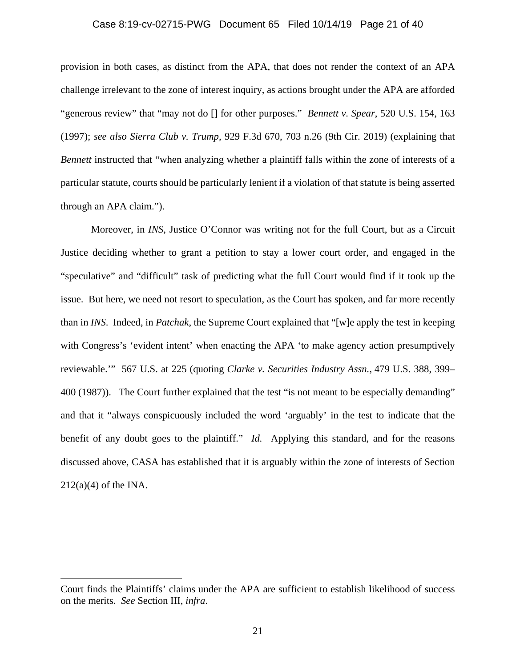### Case 8:19-cv-02715-PWG Document 65 Filed 10/14/19 Page 21 of 40

provision in both cases, as distinct from the APA, that does not render the context of an APA challenge irrelevant to the zone of interest inquiry, as actions brought under the APA are afforded "generous review" that "may not do [] for other purposes." *Bennett v. Spear*, 520 U.S. 154, 163 (1997); *see also Sierra Club v. Trump*, 929 F.3d 670, 703 n.26 (9th Cir. 2019) (explaining that *Bennett* instructed that "when analyzing whether a plaintiff falls within the zone of interests of a particular statute, courts should be particularly lenient if a violation of that statute is being asserted through an APA claim.").

Moreover, in *INS*, Justice O'Connor was writing not for the full Court, but as a Circuit Justice deciding whether to grant a petition to stay a lower court order, and engaged in the "speculative" and "difficult" task of predicting what the full Court would find if it took up the issue. But here, we need not resort to speculation, as the Court has spoken, and far more recently than in *INS*. Indeed, in *Patchak*, the Supreme Court explained that "[w]e apply the test in keeping with Congress's 'evident intent' when enacting the APA 'to make agency action presumptively reviewable.'" 567 U.S. at 225 (quoting *Clarke v. Securities Industry Assn.,* 479 U.S. 388, 399– 400 (1987)). The Court further explained that the test "is not meant to be especially demanding" and that it "always conspicuously included the word 'arguably' in the test to indicate that the benefit of any doubt goes to the plaintiff." *Id.* Applying this standard, and for the reasons discussed above, CASA has established that it is arguably within the zone of interests of Section  $212(a)(4)$  of the INA.

Court finds the Plaintiffs' claims under the APA are sufficient to establish likelihood of success on the merits. *See* Section III, *infra*.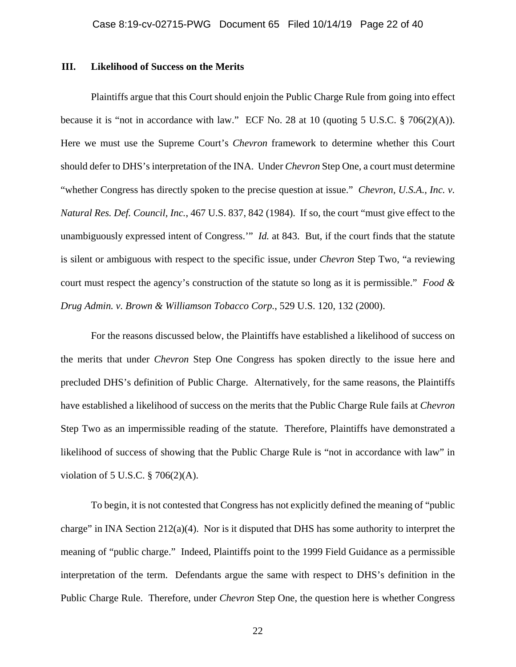#### **III. Likelihood of Success on the Merits**

Plaintiffs argue that this Court should enjoin the Public Charge Rule from going into effect because it is "not in accordance with law." ECF No. 28 at 10 (quoting 5 U.S.C. § 706(2)(A)). Here we must use the Supreme Court's *Chevron* framework to determine whether this Court should defer to DHS's interpretation of the INA. Under *Chevron* Step One, a court must determine "whether Congress has directly spoken to the precise question at issue." *Chevron, U.S.A., Inc. v. Natural Res. Def. Council, Inc.*, 467 U.S. 837, 842 (1984). If so, the court "must give effect to the unambiguously expressed intent of Congress.'" *Id.* at 843. But, if the court finds that the statute is silent or ambiguous with respect to the specific issue, under *Chevron* Step Two, "a reviewing court must respect the agency's construction of the statute so long as it is permissible." *Food & Drug Admin. v. Brown & Williamson Tobacco Corp.*, 529 U.S. 120, 132 (2000).

For the reasons discussed below, the Plaintiffs have established a likelihood of success on the merits that under *Chevron* Step One Congress has spoken directly to the issue here and precluded DHS's definition of Public Charge. Alternatively, for the same reasons, the Plaintiffs have established a likelihood of success on the merits that the Public Charge Rule fails at *Chevron* Step Two as an impermissible reading of the statute. Therefore, Plaintiffs have demonstrated a likelihood of success of showing that the Public Charge Rule is "not in accordance with law" in violation of 5 U.S.C. § 706(2)(A).

To begin, it is not contested that Congress has not explicitly defined the meaning of "public charge" in INA Section  $212(a)(4)$ . Nor is it disputed that DHS has some authority to interpret the meaning of "public charge." Indeed, Plaintiffs point to the 1999 Field Guidance as a permissible interpretation of the term. Defendants argue the same with respect to DHS's definition in the Public Charge Rule. Therefore, under *Chevron* Step One, the question here is whether Congress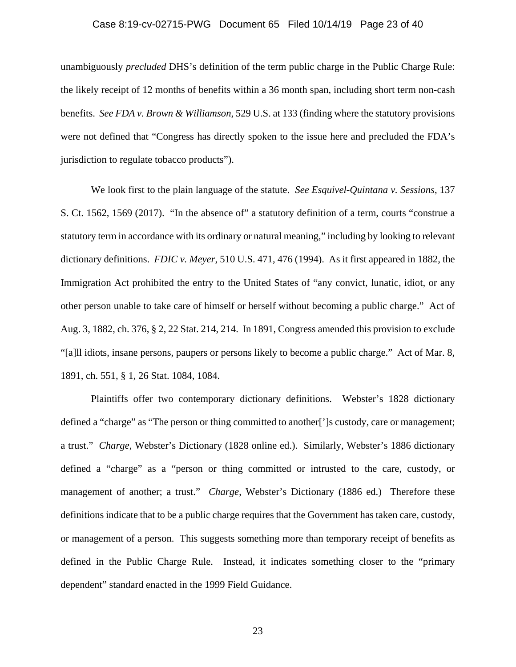### Case 8:19-cv-02715-PWG Document 65 Filed 10/14/19 Page 23 of 40

unambiguously *precluded* DHS's definition of the term public charge in the Public Charge Rule: the likely receipt of 12 months of benefits within a 36 month span, including short term non-cash benefits. *See FDA v. Brown & Williamson*, 529 U.S. at 133 (finding where the statutory provisions were not defined that "Congress has directly spoken to the issue here and precluded the FDA's jurisdiction to regulate tobacco products").

We look first to the plain language of the statute. *See Esquivel-Quintana v. Sessions*, 137 S. Ct. 1562, 1569 (2017). "In the absence of" a statutory definition of a term, courts "construe a statutory term in accordance with its ordinary or natural meaning," including by looking to relevant dictionary definitions. *FDIC v. Meyer*, 510 U.S. 471, 476 (1994). As it first appeared in 1882, the Immigration Act prohibited the entry to the United States of "any convict, lunatic, idiot, or any other person unable to take care of himself or herself without becoming a public charge." Act of Aug. 3, 1882, ch. 376, § 2, 22 Stat. 214, 214. In 1891, Congress amended this provision to exclude "[a]ll idiots, insane persons, paupers or persons likely to become a public charge." Act of Mar. 8, 1891, ch. 551, § 1, 26 Stat. 1084, 1084.

Plaintiffs offer two contemporary dictionary definitions. Webster's 1828 dictionary defined a "charge" as "The person or thing committed to another<sup>"</sup> is custody, care or management; a trust." *Charge*, Webster's Dictionary (1828 online ed.). Similarly, Webster's 1886 dictionary defined a "charge" as a "person or thing committed or intrusted to the care, custody, or management of another; a trust." *Charge*, Webster's Dictionary (1886 ed.) Therefore these definitions indicate that to be a public charge requires that the Government has taken care, custody, or management of a person. This suggests something more than temporary receipt of benefits as defined in the Public Charge Rule. Instead, it indicates something closer to the "primary dependent" standard enacted in the 1999 Field Guidance.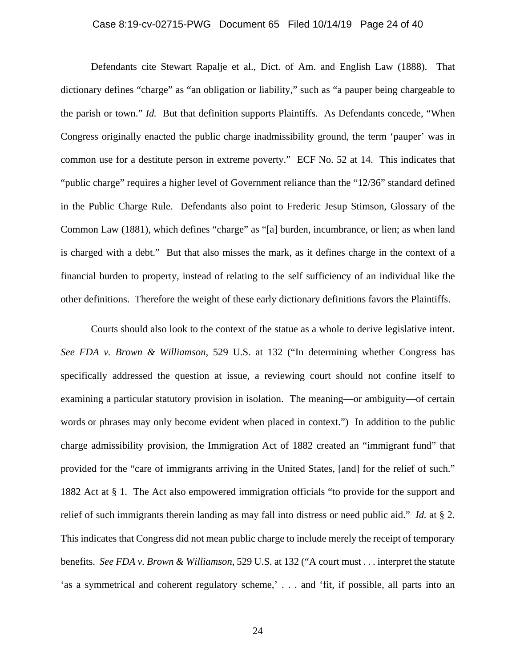### Case 8:19-cv-02715-PWG Document 65 Filed 10/14/19 Page 24 of 40

Defendants cite Stewart Rapalje et al., Dict. of Am. and English Law (1888). That dictionary defines "charge" as "an obligation or liability," such as "a pauper being chargeable to the parish or town." *Id.* But that definition supports Plaintiffs. As Defendants concede, "When Congress originally enacted the public charge inadmissibility ground, the term 'pauper' was in common use for a destitute person in extreme poverty." ECF No. 52 at 14. This indicates that "public charge" requires a higher level of Government reliance than the "12/36" standard defined in the Public Charge Rule. Defendants also point to Frederic Jesup Stimson, Glossary of the Common Law (1881), which defines "charge" as "[a] burden, incumbrance, or lien; as when land is charged with a debt." But that also misses the mark, as it defines charge in the context of a financial burden to property, instead of relating to the self sufficiency of an individual like the other definitions. Therefore the weight of these early dictionary definitions favors the Plaintiffs.

Courts should also look to the context of the statue as a whole to derive legislative intent. *See FDA v. Brown & Williamson*, 529 U.S. at 132 ("In determining whether Congress has specifically addressed the question at issue, a reviewing court should not confine itself to examining a particular statutory provision in isolation. The meaning—or ambiguity—of certain words or phrases may only become evident when placed in context.") In addition to the public charge admissibility provision, the Immigration Act of 1882 created an "immigrant fund" that provided for the "care of immigrants arriving in the United States, [and] for the relief of such." 1882 Act at § 1. The Act also empowered immigration officials "to provide for the support and relief of such immigrants therein landing as may fall into distress or need public aid." *Id.* at § 2. This indicates that Congress did not mean public charge to include merely the receipt of temporary benefits. *See FDA v. Brown & Williamson*, 529 U.S. at 132 ("A court must . . . interpret the statute 'as a symmetrical and coherent regulatory scheme,' . . . and 'fit, if possible, all parts into an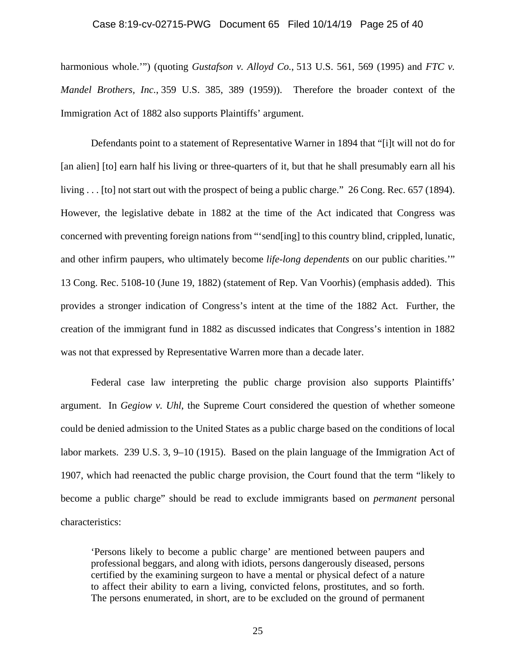#### Case 8:19-cv-02715-PWG Document 65 Filed 10/14/19 Page 25 of 40

harmonious whole."") (quoting *Gustafson v. Alloyd Co.*, 513 U.S. 561, 569 (1995) and *FTC v. Mandel Brothers, Inc.*, 359 U.S. 385, 389 (1959)). Therefore the broader context of the Immigration Act of 1882 also supports Plaintiffs' argument.

Defendants point to a statement of Representative Warner in 1894 that "[i]t will not do for [an alien] [to] earn half his living or three-quarters of it, but that he shall presumably earn all his living . . . [to] not start out with the prospect of being a public charge." 26 Cong. Rec. 657 (1894). However, the legislative debate in 1882 at the time of the Act indicated that Congress was concerned with preventing foreign nations from "'send[ing] to this country blind, crippled, lunatic, and other infirm paupers, who ultimately become *life-long dependents* on our public charities.'" 13 Cong. Rec. 5108-10 (June 19, 1882) (statement of Rep. Van Voorhis) (emphasis added). This provides a stronger indication of Congress's intent at the time of the 1882 Act. Further, the creation of the immigrant fund in 1882 as discussed indicates that Congress's intention in 1882 was not that expressed by Representative Warren more than a decade later.

Federal case law interpreting the public charge provision also supports Plaintiffs' argument. In *Gegiow v. Uhl*, the Supreme Court considered the question of whether someone could be denied admission to the United States as a public charge based on the conditions of local labor markets. 239 U.S. 3, 9–10 (1915). Based on the plain language of the Immigration Act of 1907, which had reenacted the public charge provision, the Court found that the term "likely to become a public charge" should be read to exclude immigrants based on *permanent* personal characteristics:

'Persons likely to become a public charge' are mentioned between paupers and professional beggars, and along with idiots, persons dangerously diseased, persons certified by the examining surgeon to have a mental or physical defect of a nature to affect their ability to earn a living, convicted felons, prostitutes, and so forth. The persons enumerated, in short, are to be excluded on the ground of permanent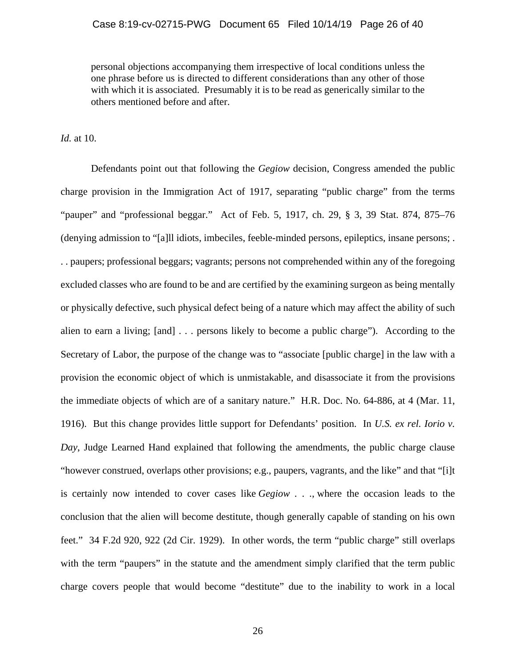personal objections accompanying them irrespective of local conditions unless the one phrase before us is directed to different considerations than any other of those with which it is associated. Presumably it is to be read as generically similar to the others mentioned before and after.

*Id.* at 10.

Defendants point out that following the *Gegiow* decision, Congress amended the public charge provision in the Immigration Act of 1917, separating "public charge" from the terms "pauper" and "professional beggar." Act of Feb. 5, 1917, ch. 29, § 3, 39 Stat. 874, 875–76 (denying admission to "[a]ll idiots, imbeciles, feeble-minded persons, epileptics, insane persons; . . . paupers; professional beggars; vagrants; persons not comprehended within any of the foregoing excluded classes who are found to be and are certified by the examining surgeon as being mentally or physically defective, such physical defect being of a nature which may affect the ability of such alien to earn a living; [and] . . . persons likely to become a public charge"). According to the Secretary of Labor, the purpose of the change was to "associate [public charge] in the law with a provision the economic object of which is unmistakable, and disassociate it from the provisions the immediate objects of which are of a sanitary nature." H.R. Doc. No. 64-886, at 4 (Mar. 11, 1916). But this change provides little support for Defendants' position. In *U.S. ex rel. Iorio v. Day*, Judge Learned Hand explained that following the amendments, the public charge clause "however construed, overlaps other provisions; e.g., paupers, vagrants, and the like" and that "[i]t is certainly now intended to cover cases like *Gegiow . . .*, where the occasion leads to the conclusion that the alien will become destitute, though generally capable of standing on his own feet." 34 F.2d 920, 922 (2d Cir. 1929). In other words, the term "public charge" still overlaps with the term "paupers" in the statute and the amendment simply clarified that the term public charge covers people that would become "destitute" due to the inability to work in a local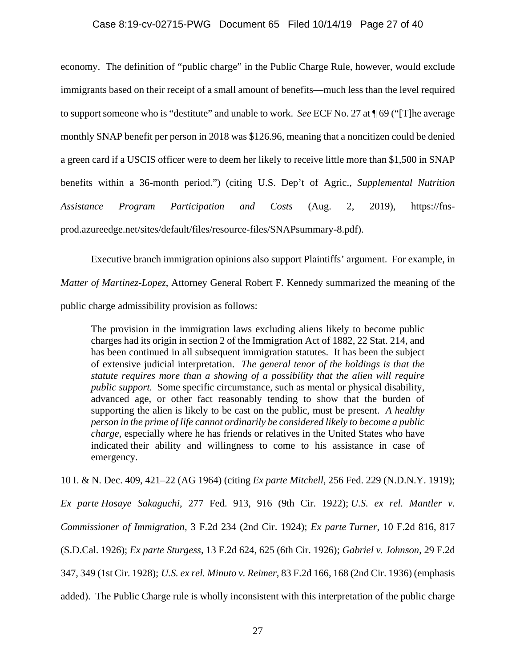#### Case 8:19-cv-02715-PWG Document 65 Filed 10/14/19 Page 27 of 40

economy. The definition of "public charge" in the Public Charge Rule, however, would exclude immigrants based on their receipt of a small amount of benefits—much less than the level required to support someone who is "destitute" and unable to work. *See* ECF No. 27 at ¶ 69 ("[T]he average monthly SNAP benefit per person in 2018 was \$126.96, meaning that a noncitizen could be denied a green card if a USCIS officer were to deem her likely to receive little more than \$1,500 in SNAP benefits within a 36-month period.") (citing U.S. Dep't of Agric., *Supplemental Nutrition Assistance Program Participation and Costs* (Aug. 2, 2019), https://fnsprod.azureedge.net/sites/default/files/resource-files/SNAPsummary-8.pdf).

 Executive branch immigration opinions also support Plaintiffs' argument. For example, in *Matter of Martinez-Lopez*, Attorney General Robert F. Kennedy summarized the meaning of the public charge admissibility provision as follows:

The provision in the immigration laws excluding aliens likely to become public charges had its origin in section 2 of the Immigration Act of 1882, 22 Stat. 214, and has been continued in all subsequent immigration statutes. It has been the subject of extensive judicial interpretation. *The general tenor of the holdings is that the statute requires more than a showing of a possibility that the alien will require public support.* Some specific circumstance, such as mental or physical disability, advanced age, or other fact reasonably tending to show that the burden of supporting the alien is likely to be cast on the public, must be present. *A healthy person in the prime of life cannot ordinarily be considered likely to become a public charge*, especially where he has friends or relatives in the United States who have indicated their ability and willingness to come to his assistance in case of emergency.

10 I. & N. Dec. 409, 421–22 (AG 1964) (citing *Ex parte Mitchell*, 256 Fed. 229 (N.D.N.Y. 1919);

*Ex parte Hosaye Sakaguchi*, 277 Fed. 913, 916 (9th Cir. 1922); *U.S. ex rel. Mantler v. Commissioner of Immigration*, 3 F.2d 234 (2nd Cir. 1924); *Ex parte Turner*, 10 F.2d 816, 817 (S.D.Cal. 1926); *Ex parte Sturgess*, 13 F.2d 624, 625 (6th Cir. 1926); *Gabriel v. Johnson*, 29 F.2d 347, 349 (1st Cir. 1928); *U.S. ex rel. Minuto v. Reimer*, 83 F.2d 166, 168 (2nd Cir. 1936) (emphasis added). The Public Charge rule is wholly inconsistent with this interpretation of the public charge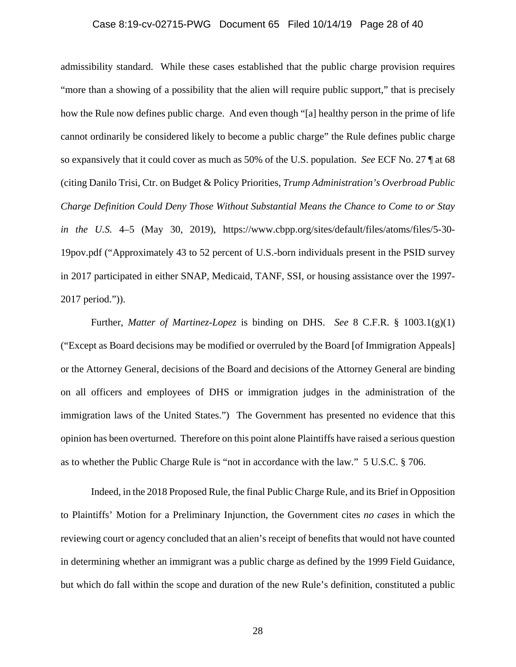### Case 8:19-cv-02715-PWG Document 65 Filed 10/14/19 Page 28 of 40

admissibility standard. While these cases established that the public charge provision requires "more than a showing of a possibility that the alien will require public support," that is precisely how the Rule now defines public charge. And even though "[a] healthy person in the prime of life cannot ordinarily be considered likely to become a public charge" the Rule defines public charge so expansively that it could cover as much as 50% of the U.S. population. *See* ECF No. 27 ¶ at 68 (citing Danilo Trisi, Ctr. on Budget & Policy Priorities, *Trump Administration's Overbroad Public Charge Definition Could Deny Those Without Substantial Means the Chance to Come to or Stay in the U.S.* 4–5 (May 30, 2019), https://www.cbpp.org/sites/default/files/atoms/files/5-30- 19pov.pdf ("Approximately 43 to 52 percent of U.S.-born individuals present in the PSID survey in 2017 participated in either SNAP, Medicaid, TANF, SSI, or housing assistance over the 1997- 2017 period.")).

Further, *Matter of Martinez-Lopez* is binding on DHS. *See* 8 C.F.R. § 1003.1(g)(1) ("Except as Board decisions may be modified or overruled by the Board [of Immigration Appeals] or the Attorney General, decisions of the Board and decisions of the Attorney General are binding on all officers and employees of DHS or immigration judges in the administration of the immigration laws of the United States.") The Government has presented no evidence that this opinion has been overturned. Therefore on this point alone Plaintiffs have raised a serious question as to whether the Public Charge Rule is "not in accordance with the law."5 U.S.C. § 706.

Indeed, in the 2018 Proposed Rule, the final Public Charge Rule, and its Brief in Opposition to Plaintiffs' Motion for a Preliminary Injunction, the Government cites *no cases* in which the reviewing court or agency concluded that an alien's receipt of benefits that would not have counted in determining whether an immigrant was a public charge as defined by the 1999 Field Guidance, but which do fall within the scope and duration of the new Rule's definition, constituted a public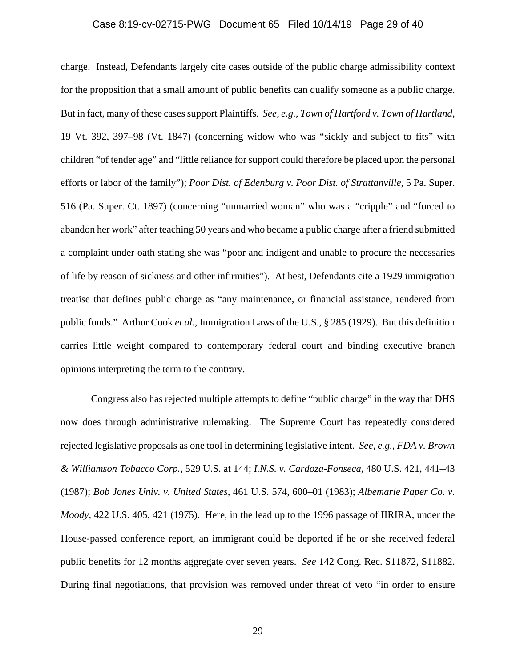### Case 8:19-cv-02715-PWG Document 65 Filed 10/14/19 Page 29 of 40

charge. Instead, Defendants largely cite cases outside of the public charge admissibility context for the proposition that a small amount of public benefits can qualify someone as a public charge. But in fact, many of these cases support Plaintiffs. *See, e.g.*, *Town of Hartford v. Town of Hartland*, 19 Vt. 392, 397–98 (Vt. 1847) (concerning widow who was "sickly and subject to fits" with children "of tender age" and "little reliance for support could therefore be placed upon the personal efforts or labor of the family"); *Poor Dist. of Edenburg v. Poor Dist. of Strattanville*, 5 Pa. Super. 516 (Pa. Super. Ct. 1897) (concerning "unmarried woman" who was a "cripple" and "forced to abandon her work" after teaching 50 years and who became a public charge after a friend submitted a complaint under oath stating she was "poor and indigent and unable to procure the necessaries of life by reason of sickness and other infirmities"). At best, Defendants cite a 1929 immigration treatise that defines public charge as "any maintenance, or financial assistance, rendered from public funds." Arthur Cook *et al.*, Immigration Laws of the U.S., § 285 (1929). But this definition carries little weight compared to contemporary federal court and binding executive branch opinions interpreting the term to the contrary.

Congress also has rejected multiple attempts to define "public charge" in the way that DHS now does through administrative rulemaking. The Supreme Court has repeatedly considered rejected legislative proposals as one tool in determining legislative intent. *See, e.g.*, *FDA v. Brown & Williamson Tobacco Corp.*, 529 U.S. at 144; *I.N.S. v. Cardoza-Fonseca*, 480 U.S. 421, 441–43 (1987); *Bob Jones Univ. v. United States*, 461 U.S. 574, 600–01 (1983); *Albemarle Paper Co. v. Moody*, 422 U.S. 405, 421 (1975). Here, in the lead up to the 1996 passage of IIRIRA, under the House-passed conference report, an immigrant could be deported if he or she received federal public benefits for 12 months aggregate over seven years. *See* 142 Cong. Rec. S11872, S11882. During final negotiations, that provision was removed under threat of veto "in order to ensure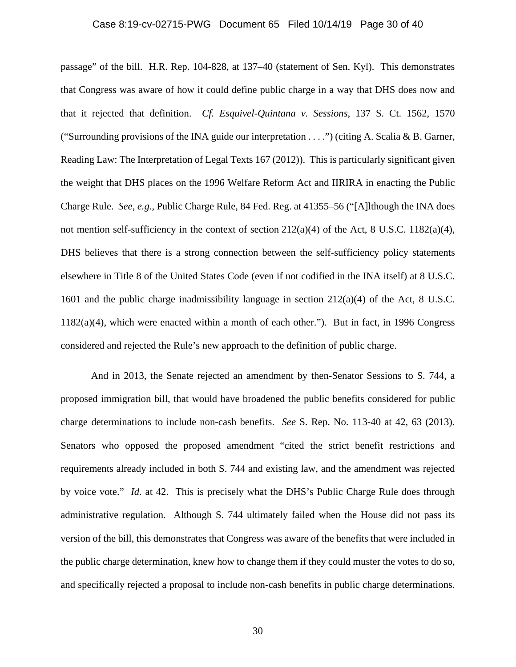### Case 8:19-cv-02715-PWG Document 65 Filed 10/14/19 Page 30 of 40

passage" of the bill. H.R. Rep. 104-828, at 137–40 (statement of Sen. Kyl). This demonstrates that Congress was aware of how it could define public charge in a way that DHS does now and that it rejected that definition. *Cf. Esquivel-Quintana v. Sessions*, 137 S. Ct. 1562, 1570 ("Surrounding provisions of the INA guide our interpretation  $\dots$ .") (citing A. Scalia & B. Garner, Reading Law: The Interpretation of Legal Texts 167 (2012)). This is particularly significant given the weight that DHS places on the 1996 Welfare Reform Act and IIRIRA in enacting the Public Charge Rule. *See, e.g.*, Public Charge Rule, 84 Fed. Reg. at 41355–56 ("[A]lthough the INA does not mention self-sufficiency in the context of section  $212(a)(4)$  of the Act, 8 U.S.C. 1182(a)(4), DHS believes that there is a strong connection between the self-sufficiency policy statements elsewhere in Title 8 of the United States Code (even if not codified in the INA itself) at 8 U.S.C. 1601 and the public charge inadmissibility language in section 212(a)(4) of the Act, 8 U.S.C. 1182(a)(4), which were enacted within a month of each other."). But in fact, in 1996 Congress considered and rejected the Rule's new approach to the definition of public charge.

And in 2013, the Senate rejected an amendment by then-Senator Sessions to S. 744, a proposed immigration bill, that would have broadened the public benefits considered for public charge determinations to include non-cash benefits. *See* S. Rep. No. 113-40 at 42, 63 (2013). Senators who opposed the proposed amendment "cited the strict benefit restrictions and requirements already included in both S. 744 and existing law, and the amendment was rejected by voice vote." *Id.* at 42. This is precisely what the DHS's Public Charge Rule does through administrative regulation. Although S. 744 ultimately failed when the House did not pass its version of the bill, this demonstrates that Congress was aware of the benefits that were included in the public charge determination, knew how to change them if they could muster the votes to do so, and specifically rejected a proposal to include non-cash benefits in public charge determinations.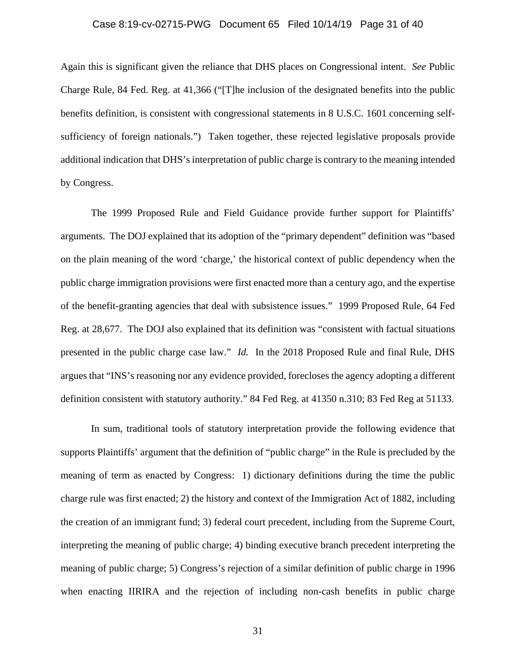### Case 8:19-cv-02715-PWG Document 65 Filed 10/14/19 Page 31 of 40

Again this is significant given the reliance that DHS places on Congressional intent. *See* Public Charge Rule, 84 Fed. Reg. at 41,366 ("[T]he inclusion of the designated benefits into the public benefits definition, is consistent with congressional statements in 8 U.S.C. 1601 concerning selfsufficiency of foreign nationals.") Taken together, these rejected legislative proposals provide additional indication that DHS's interpretation of public charge is contrary to the meaning intended by Congress.

The 1999 Proposed Rule and Field Guidance provide further support for Plaintiffs' arguments. The DOJ explained that its adoption of the "primary dependent" definition was "based on the plain meaning of the word 'charge,' the historical context of public dependency when the public charge immigration provisions were first enacted more than a century ago, and the expertise of the benefit-granting agencies that deal with subsistence issues." 1999 Proposed Rule, 64 Fed Reg. at 28,677. The DOJ also explained that its definition was "consistent with factual situations presented in the public charge case law." *Id.* In the 2018 Proposed Rule and final Rule, DHS argues that "INS's reasoning nor any evidence provided, forecloses the agency adopting a different definition consistent with statutory authority." 84 Fed Reg. at 41350 n.310; 83 Fed Reg at 51133.

In sum, traditional tools of statutory interpretation provide the following evidence that supports Plaintiffs' argument that the definition of "public charge" in the Rule is precluded by the meaning of term as enacted by Congress: 1) dictionary definitions during the time the public charge rule was first enacted; 2) the history and context of the Immigration Act of 1882, including the creation of an immigrant fund; 3) federal court precedent, including from the Supreme Court, interpreting the meaning of public charge; 4) binding executive branch precedent interpreting the meaning of public charge; 5) Congress's rejection of a similar definition of public charge in 1996 when enacting IIRIRA and the rejection of including non-cash benefits in public charge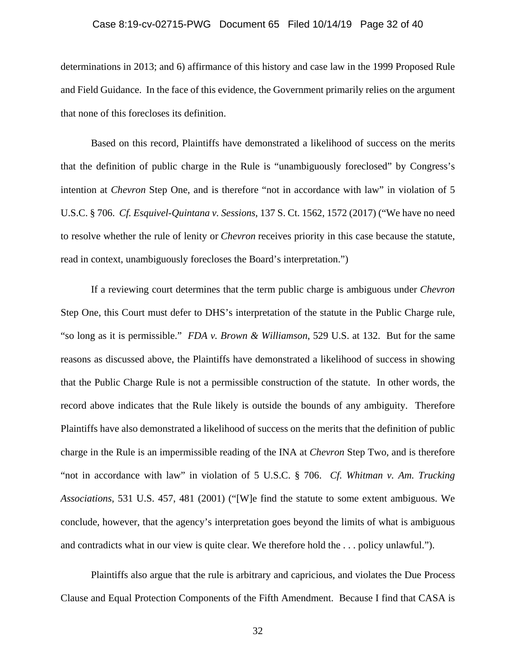### Case 8:19-cv-02715-PWG Document 65 Filed 10/14/19 Page 32 of 40

determinations in 2013; and 6) affirmance of this history and case law in the 1999 Proposed Rule and Field Guidance. In the face of this evidence, the Government primarily relies on the argument that none of this forecloses its definition.

Based on this record, Plaintiffs have demonstrated a likelihood of success on the merits that the definition of public charge in the Rule is "unambiguously foreclosed" by Congress's intention at *Chevron* Step One, and is therefore "not in accordance with law" in violation of 5 U.S.C. § 706. *Cf. Esquivel-Quintana v. Sessions*, 137 S. Ct. 1562, 1572 (2017) ("We have no need to resolve whether the rule of lenity or *Chevron* receives priority in this case because the statute, read in context, unambiguously forecloses the Board's interpretation.")

If a reviewing court determines that the term public charge is ambiguous under *Chevron* Step One, this Court must defer to DHS's interpretation of the statute in the Public Charge rule, "so long as it is permissible." *FDA v. Brown & Williamson*, 529 U.S. at 132. But for the same reasons as discussed above, the Plaintiffs have demonstrated a likelihood of success in showing that the Public Charge Rule is not a permissible construction of the statute. In other words, the record above indicates that the Rule likely is outside the bounds of any ambiguity. Therefore Plaintiffs have also demonstrated a likelihood of success on the merits that the definition of public charge in the Rule is an impermissible reading of the INA at *Chevron* Step Two, and is therefore "not in accordance with law" in violation of 5 U.S.C. § 706. *Cf. Whitman v. Am. Trucking Associations*, 531 U.S. 457, 481 (2001) ("[W]e find the statute to some extent ambiguous. We conclude, however, that the agency's interpretation goes beyond the limits of what is ambiguous and contradicts what in our view is quite clear. We therefore hold the . . . policy unlawful.").

Plaintiffs also argue that the rule is arbitrary and capricious, and violates the Due Process Clause and Equal Protection Components of the Fifth Amendment. Because I find that CASA is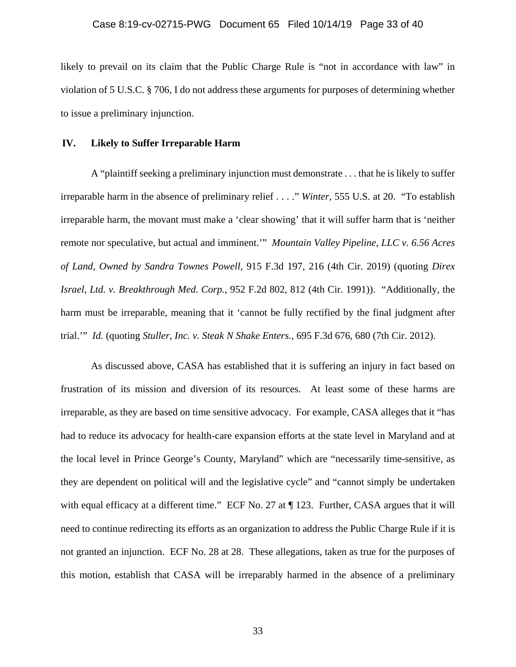likely to prevail on its claim that the Public Charge Rule is "not in accordance with law" in violation of 5 U.S.C. § 706, I do not address these arguments for purposes of determining whether to issue a preliminary injunction.

#### **IV. Likely to Suffer Irreparable Harm**

A "plaintiff seeking a preliminary injunction must demonstrate . . . that he is likely to suffer irreparable harm in the absence of preliminary relief . . . ." *Winter*, 555 U.S. at 20. "To establish irreparable harm, the movant must make a 'clear showing' that it will suffer harm that is 'neither remote nor speculative, but actual and imminent.'" *Mountain Valley Pipeline, LLC v. 6.56 Acres of Land, Owned by Sandra Townes Powell*, 915 F.3d 197, 216 (4th Cir. 2019) (quoting *Direx Israel, Ltd. v. Breakthrough Med. Corp.*, 952 F.2d 802, 812 (4th Cir. 1991)). "Additionally, the harm must be irreparable, meaning that it 'cannot be fully rectified by the final judgment after trial.'" *Id.* (quoting *Stuller, Inc. v. Steak N Shake Enters.*, 695 F.3d 676, 680 (7th Cir. 2012).

As discussed above, CASA has established that it is suffering an injury in fact based on frustration of its mission and diversion of its resources. At least some of these harms are irreparable, as they are based on time sensitive advocacy. For example, CASA alleges that it "has had to reduce its advocacy for health-care expansion efforts at the state level in Maryland and at the local level in Prince George's County, Maryland" which are "necessarily time-sensitive, as they are dependent on political will and the legislative cycle" and "cannot simply be undertaken with equal efficacy at a different time." ECF No. 27 at  $\P$  123. Further, CASA argues that it will need to continue redirecting its efforts as an organization to address the Public Charge Rule if it is not granted an injunction. ECF No. 28 at 28. These allegations, taken as true for the purposes of this motion, establish that CASA will be irreparably harmed in the absence of a preliminary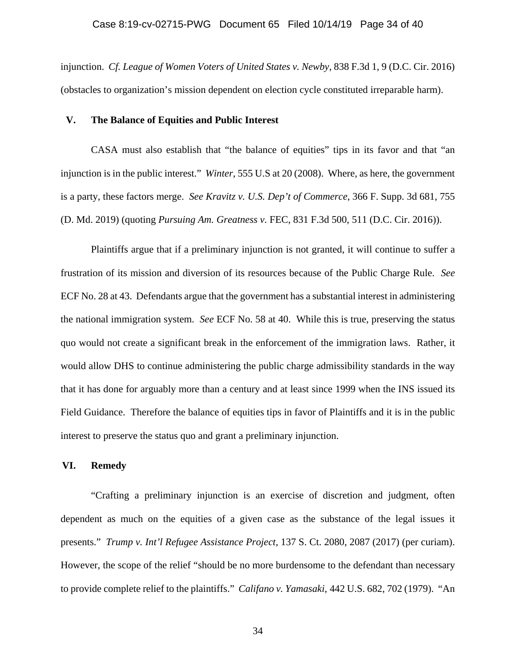#### Case 8:19-cv-02715-PWG Document 65 Filed 10/14/19 Page 34 of 40

injunction. *Cf. League of Women Voters of United States v. Newby*, 838 F.3d 1, 9 (D.C. Cir. 2016) (obstacles to organization's mission dependent on election cycle constituted irreparable harm).

### **V. The Balance of Equities and Public Interest**

CASA must also establish that "the balance of equities" tips in its favor and that "an injunction is in the public interest." *Winter*, 555 U.S at 20 (2008). Where, as here, the government is a party, these factors merge. *See Kravitz v. U.S. Dep't of Commerce*, 366 F. Supp. 3d 681, 755 (D. Md. 2019) (quoting *Pursuing Am. Greatness v.* FEC, 831 F.3d 500, 511 (D.C. Cir. 2016)).

 Plaintiffs argue that if a preliminary injunction is not granted, it will continue to suffer a frustration of its mission and diversion of its resources because of the Public Charge Rule. *See* ECF No. 28 at 43. Defendants argue that the government has a substantial interest in administering the national immigration system. *See* ECF No. 58 at 40. While this is true, preserving the status quo would not create a significant break in the enforcement of the immigration laws. Rather, it would allow DHS to continue administering the public charge admissibility standards in the way that it has done for arguably more than a century and at least since 1999 when the INS issued its Field Guidance. Therefore the balance of equities tips in favor of Plaintiffs and it is in the public interest to preserve the status quo and grant a preliminary injunction.

#### **VI. Remedy**

"Crafting a preliminary injunction is an exercise of discretion and judgment, often dependent as much on the equities of a given case as the substance of the legal issues it presents." *Trump v. Int'l Refugee Assistance Project*, 137 S. Ct. 2080, 2087 (2017) (per curiam). However, the scope of the relief "should be no more burdensome to the defendant than necessary to provide complete relief to the plaintiffs." *Califano v. Yamasaki*, 442 U.S. 682, 702 (1979). "An

34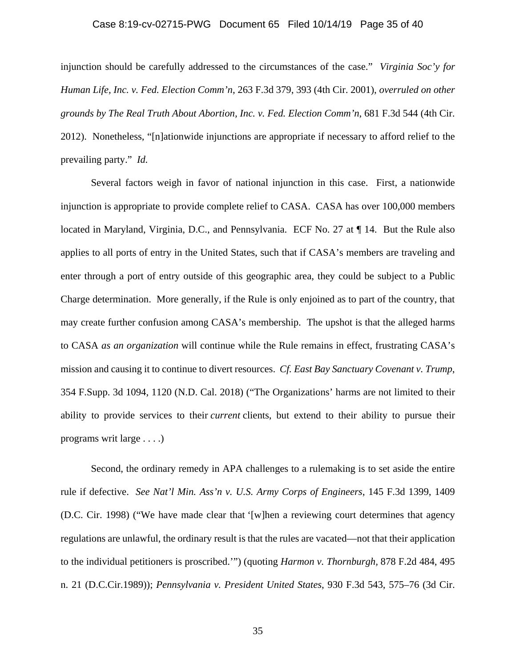### Case 8:19-cv-02715-PWG Document 65 Filed 10/14/19 Page 35 of 40

injunction should be carefully addressed to the circumstances of the case." *Virginia Soc'y for Human Life, Inc. v. Fed. Election Comm'n*, 263 F.3d 379, 393 (4th Cir. 2001), *overruled on other grounds by The Real Truth About Abortion, Inc. v. Fed. Election Comm'n*, 681 F.3d 544 (4th Cir. 2012). Nonetheless, "[n]ationwide injunctions are appropriate if necessary to afford relief to the prevailing party." *Id.*

Several factors weigh in favor of national injunction in this case. First, a nationwide injunction is appropriate to provide complete relief to CASA. CASA has over 100,000 members located in Maryland, Virginia, D.C., and Pennsylvania. ECF No. 27 at  $\P$  14. But the Rule also applies to all ports of entry in the United States, such that if CASA's members are traveling and enter through a port of entry outside of this geographic area, they could be subject to a Public Charge determination. More generally, if the Rule is only enjoined as to part of the country, that may create further confusion among CASA's membership. The upshot is that the alleged harms to CASA *as an organization* will continue while the Rule remains in effect, frustrating CASA's mission and causing it to continue to divert resources. *Cf. East Bay Sanctuary Covenant v. Trump*, 354 F.Supp. 3d 1094, 1120 (N.D. Cal. 2018) ("The Organizations' harms are not limited to their ability to provide services to their *current* clients, but extend to their ability to pursue their programs writ large . . . .)

Second, the ordinary remedy in APA challenges to a rulemaking is to set aside the entire rule if defective. *See Nat'l Min. Ass'n v. U.S. Army Corps of Engineers*, 145 F.3d 1399, 1409 (D.C. Cir. 1998) ("We have made clear that '[w]hen a reviewing court determines that agency regulations are unlawful, the ordinary result is that the rules are vacated—not that their application to the individual petitioners is proscribed.'") (quoting *Harmon v. Thornburgh,* 878 F.2d 484, 495 n. 21 (D.C.Cir.1989)); *Pennsylvania v. President United States*, 930 F.3d 543, 575–76 (3d Cir.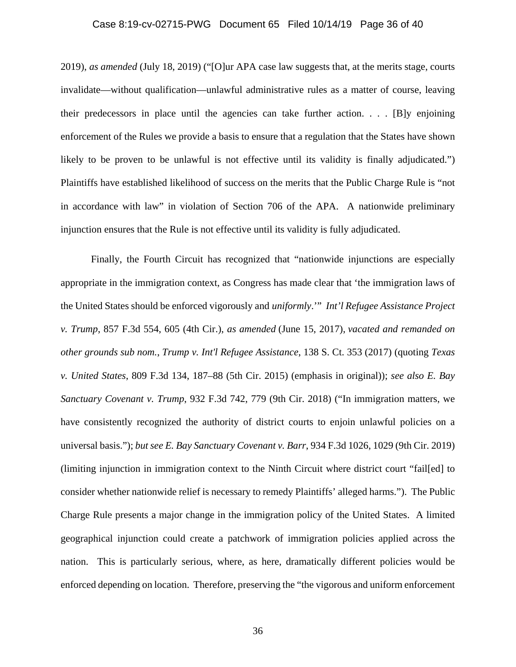### Case 8:19-cv-02715-PWG Document 65 Filed 10/14/19 Page 36 of 40

2019), *as amended* (July 18, 2019) ("[O]ur APA case law suggests that, at the merits stage, courts invalidate—without qualification—unlawful administrative rules as a matter of course, leaving their predecessors in place until the agencies can take further action. . . . [B]y enjoining enforcement of the Rules we provide a basis to ensure that a regulation that the States have shown likely to be proven to be unlawful is not effective until its validity is finally adjudicated.") Plaintiffs have established likelihood of success on the merits that the Public Charge Rule is "not in accordance with law" in violation of Section 706 of the APA. A nationwide preliminary injunction ensures that the Rule is not effective until its validity is fully adjudicated.

 Finally, the Fourth Circuit has recognized that "nationwide injunctions are especially appropriate in the immigration context, as Congress has made clear that 'the immigration laws of the United States should be enforced vigorously and *uniformly*.'" *Int'l Refugee Assistance Project v. Trump*, 857 F.3d 554, 605 (4th Cir.), *as amended* (June 15, 2017), *vacated and remanded on other grounds sub nom.*, *Trump v. Int'l Refugee Assistance*, 138 S. Ct. 353 (2017) (quoting *Texas v. United States*, 809 F.3d 134, 187–88 (5th Cir. 2015) (emphasis in original)); *see also E. Bay Sanctuary Covenant v. Trump*, 932 F.3d 742, 779 (9th Cir. 2018) ("In immigration matters, we have consistently recognized the authority of district courts to enjoin unlawful policies on a universal basis."); *but see E. Bay Sanctuary Covenant v. Barr*, 934 F.3d 1026, 1029 (9th Cir. 2019) (limiting injunction in immigration context to the Ninth Circuit where district court "fail[ed] to consider whether nationwide relief is necessary to remedy Plaintiffs' alleged harms."). The Public Charge Rule presents a major change in the immigration policy of the United States. A limited geographical injunction could create a patchwork of immigration policies applied across the nation. This is particularly serious, where, as here, dramatically different policies would be enforced depending on location. Therefore, preserving the "the vigorous and uniform enforcement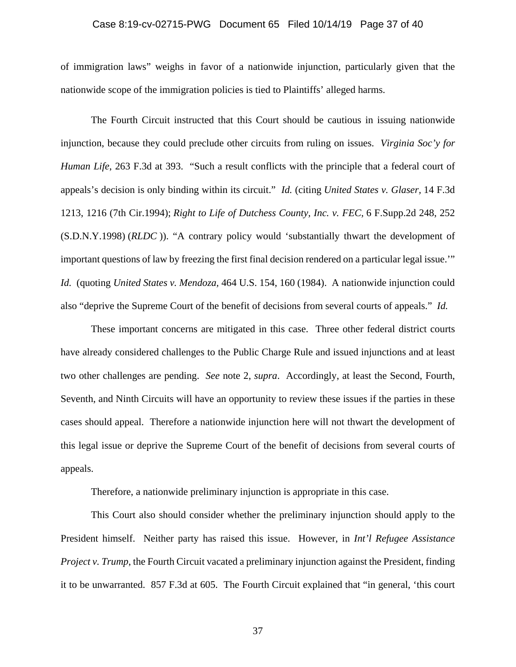### Case 8:19-cv-02715-PWG Document 65 Filed 10/14/19 Page 37 of 40

of immigration laws" weighs in favor of a nationwide injunction, particularly given that the nationwide scope of the immigration policies is tied to Plaintiffs' alleged harms.

 The Fourth Circuit instructed that this Court should be cautious in issuing nationwide injunction, because they could preclude other circuits from ruling on issues. *Virginia Soc'y for Human Life*, 263 F.3d at 393. "Such a result conflicts with the principle that a federal court of appeals's decision is only binding within its circuit." *Id.* (citing *United States v. Glaser,* 14 F.3d 1213, 1216 (7th Cir.1994); *Right to Life of Dutchess County, Inc. v. FEC,* 6 F.Supp.2d 248, 252 (S.D.N.Y.1998) (*RLDC* )). "A contrary policy would 'substantially thwart the development of important questions of law by freezing the first final decision rendered on a particular legal issue.'" *Id.* (quoting *United States v. Mendoza,* 464 U.S. 154, 160 (1984). A nationwide injunction could also "deprive the Supreme Court of the benefit of decisions from several courts of appeals." *Id.*

 These important concerns are mitigated in this case. Three other federal district courts have already considered challenges to the Public Charge Rule and issued injunctions and at least two other challenges are pending. *See* note 2, *supra*. Accordingly, at least the Second, Fourth, Seventh, and Ninth Circuits will have an opportunity to review these issues if the parties in these cases should appeal. Therefore a nationwide injunction here will not thwart the development of this legal issue or deprive the Supreme Court of the benefit of decisions from several courts of appeals.

Therefore, a nationwide preliminary injunction is appropriate in this case.

 This Court also should consider whether the preliminary injunction should apply to the President himself. Neither party has raised this issue. However, in *Int'l Refugee Assistance Project v. Trump*, the Fourth Circuit vacated a preliminary injunction against the President, finding it to be unwarranted. 857 F.3d at 605. The Fourth Circuit explained that "in general, 'this court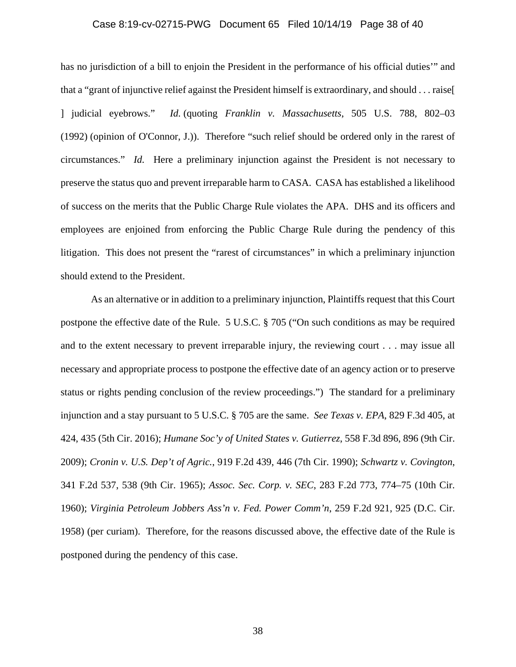### Case 8:19-cv-02715-PWG Document 65 Filed 10/14/19 Page 38 of 40

has no jurisdiction of a bill to enjoin the President in the performance of his official duties'" and that a "grant of injunctive relief against the President himself is extraordinary, and should . . . raise[ ] judicial eyebrows." *Id.* (quoting *Franklin v. Massachusetts*, 505 U.S. 788, 802–03 (1992) (opinion of O'Connor, J.)). Therefore "such relief should be ordered only in the rarest of circumstances." *Id.* Here a preliminary injunction against the President is not necessary to preserve the status quo and prevent irreparable harm to CASA. CASA has established a likelihood of success on the merits that the Public Charge Rule violates the APA. DHS and its officers and employees are enjoined from enforcing the Public Charge Rule during the pendency of this litigation. This does not present the "rarest of circumstances" in which a preliminary injunction should extend to the President.

 As an alternative or in addition to a preliminary injunction, Plaintiffs request that this Court postpone the effective date of the Rule. 5 U.S.C. § 705 ("On such conditions as may be required and to the extent necessary to prevent irreparable injury, the reviewing court . . . may issue all necessary and appropriate process to postpone the effective date of an agency action or to preserve status or rights pending conclusion of the review proceedings.") The standard for a preliminary injunction and a stay pursuant to 5 U.S.C. § 705 are the same. *See Texas v. EPA*, 829 F.3d 405, at 424, 435 (5th Cir. 2016); *Humane Soc'y of United States v. Gutierrez*, 558 F.3d 896, 896 (9th Cir. 2009); *Cronin v. U.S. Dep't of Agric.*, 919 F.2d 439, 446 (7th Cir. 1990); *Schwartz v. Covington*, 341 F.2d 537, 538 (9th Cir. 1965); *Assoc. Sec. Corp. v. SEC*, 283 F.2d 773, 774–75 (10th Cir. 1960); *Virginia Petroleum Jobbers Ass'n v. Fed. Power Comm'n*, 259 F.2d 921, 925 (D.C. Cir. 1958) (per curiam). Therefore, for the reasons discussed above, the effective date of the Rule is postponed during the pendency of this case.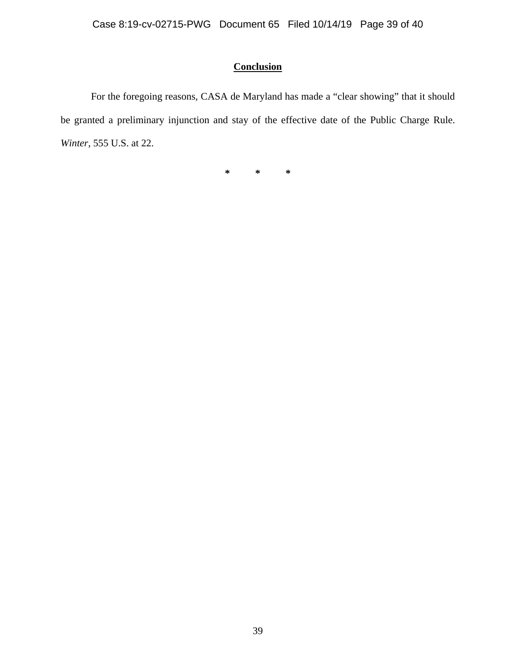# **Conclusion**

For the foregoing reasons, CASA de Maryland has made a "clear showing" that it should be granted a preliminary injunction and stay of the effective date of the Public Charge Rule. *Winter*, 555 U.S. at 22.

**\* \* \***